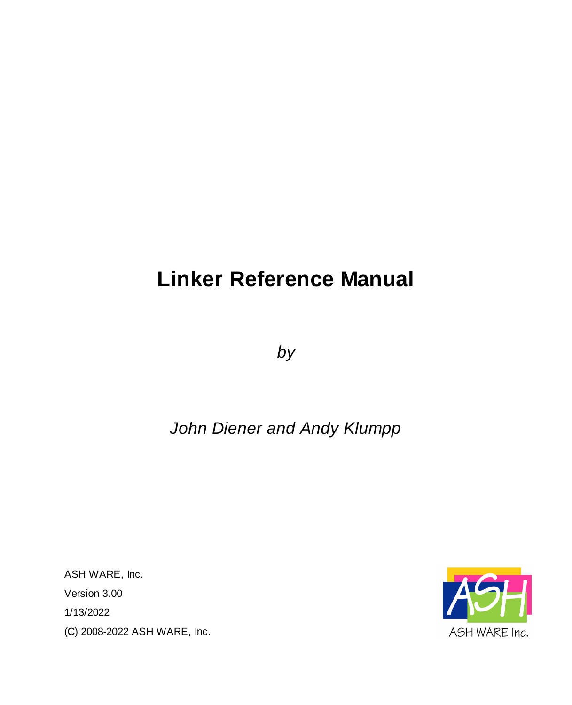# **Linker Reference Manual**

*by*

# *John Diener and Andy Klumpp*

ASH WARE, Inc. Version 3.00 1/13/2022 (C) 2008-2022 ASH WARE, Inc.

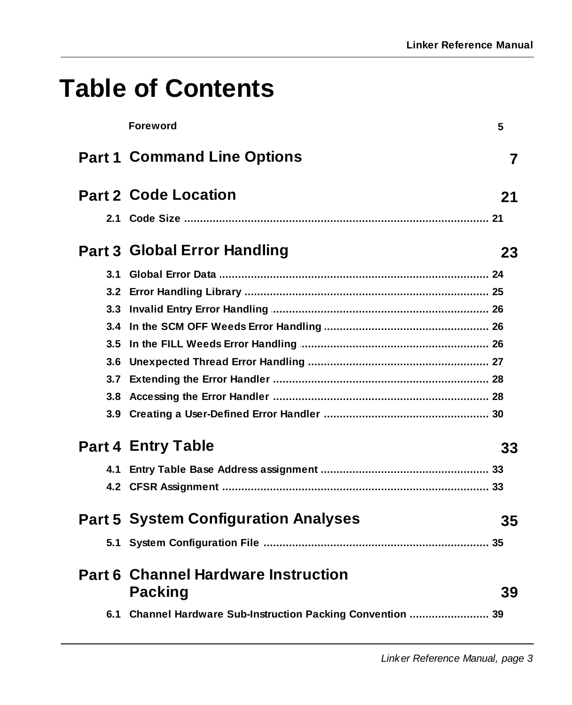# **Table of Contents**

|     | <b>Foreword</b>                                              | 5  |
|-----|--------------------------------------------------------------|----|
|     | <b>Part 1 Command Line Options</b>                           | 7  |
|     | <b>Part 2 Code Location</b>                                  | 21 |
|     |                                                              |    |
|     | Part 3 Global Error Handling                                 | 23 |
| 3.1 |                                                              |    |
|     |                                                              |    |
|     |                                                              |    |
|     |                                                              |    |
| 3.5 |                                                              |    |
| 3.6 |                                                              |    |
|     |                                                              |    |
|     |                                                              |    |
|     |                                                              |    |
|     | <b>Part 4 Entry Table</b>                                    | 33 |
|     |                                                              |    |
|     |                                                              |    |
|     | <b>Part 5 System Configuration Analyses</b>                  | 35 |
| 5.1 |                                                              |    |
|     | <b>Part 6 Channel Hardware Instruction</b><br><b>Packing</b> | 39 |
|     | 6.1 Channel Hardware Sub-Instruction Packing Convention  39  |    |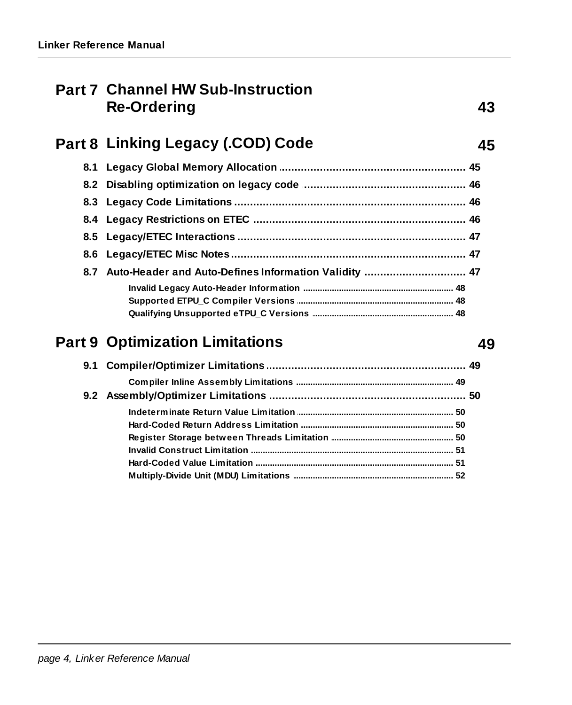# **Part 7 Channel HW Sub-Instruction Re-Ordering**

| 8.7 Auto-Header and Auto-Defines Information Validity  47 |  |
|-----------------------------------------------------------|--|
|                                                           |  |
|                                                           |  |
|                                                           |  |

# **Part 9 Optimization Limitations**

| 9.1 Compiler/Optimizer Limitations ……………………………………………………… 49 |  |
|-------------------------------------------------------------|--|
|                                                             |  |
|                                                             |  |
|                                                             |  |
|                                                             |  |
|                                                             |  |
|                                                             |  |
|                                                             |  |
|                                                             |  |

#### 49

43

45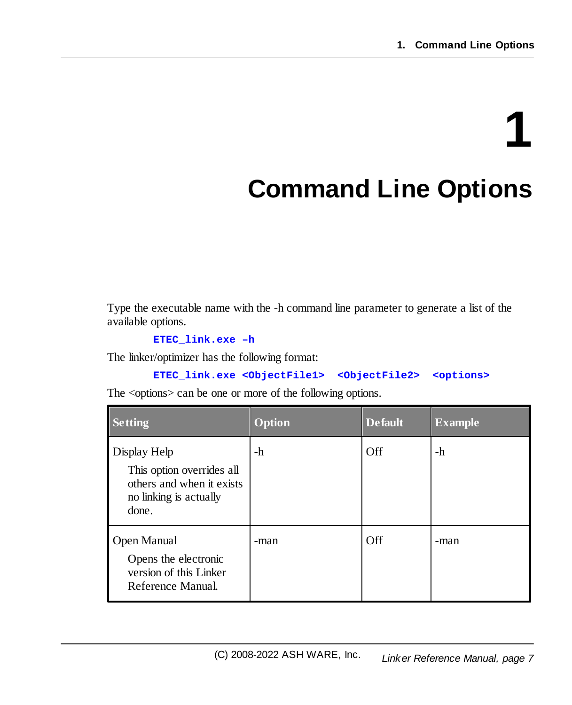# **1**

# <span id="page-6-0"></span>**Command Line Options**

Type the executable name with the -h command line parameter to generate a list of the available options.

**ETEC\_link.exe –h**

The linker/optimizer has the following format:

```
ETEC_link.exe <ObjectFile1> <ObjectFile2> <options>
```
The <options> can be one or more of the following options.

| <b>Setting</b>                                                                                            | <b>Option</b> | <b>Default</b> | <b>Example</b> |
|-----------------------------------------------------------------------------------------------------------|---------------|----------------|----------------|
| Display Help<br>This option overrides all<br>others and when it exists<br>no linking is actually<br>done. | -h            | Off            | -h             |
| Open Manual<br>Opens the electronic<br>version of this Linker<br>Reference Manual.                        | -man          | Off            | -man           |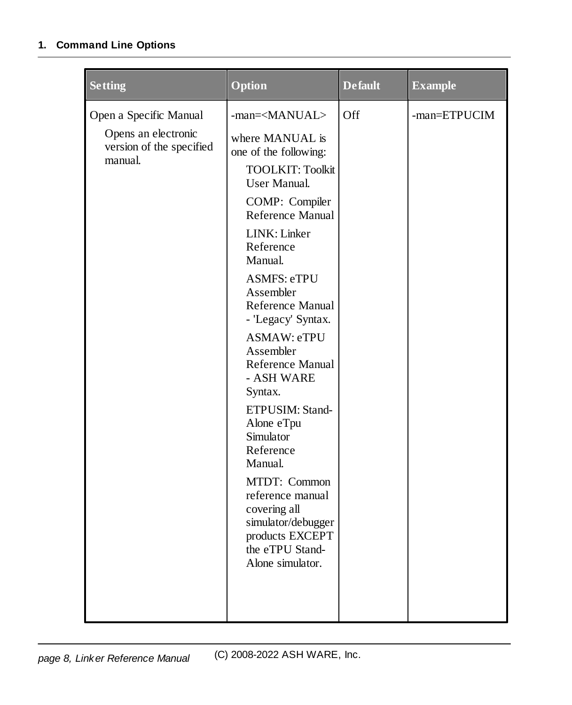| <b>Setting</b>                                                                       | Option                                                                                                                                                                                                                                                                                                                                                                                                                                                                                                                                                                                            | <b>Default</b> | <b>Example</b> |
|--------------------------------------------------------------------------------------|---------------------------------------------------------------------------------------------------------------------------------------------------------------------------------------------------------------------------------------------------------------------------------------------------------------------------------------------------------------------------------------------------------------------------------------------------------------------------------------------------------------------------------------------------------------------------------------------------|----------------|----------------|
| Open a Specific Manual<br>Opens an electronic<br>version of the specified<br>manual. | -man= <manual><br/>where MANUAL is<br/>one of the following:<br/><b>TOOLKIT: Toolkit</b><br/><b>User Manual.</b><br/>COMP: Compiler<br/>Reference Manual<br/>LINK: Linker<br/>Reference<br/>Manual.<br/><b>ASMFS: eTPU</b><br/>Assembler<br/>Reference Manual<br/>- 'Legacy' Syntax.<br/>ASMAW: eTPU<br/>Assembler<br/>Reference Manual<br/>- ASH WARE<br/>Syntax.<br/>ETPUSIM: Stand-<br/>Alone eTpu<br/>Simulator<br/>Reference<br/>Manual.<br/>MTDT: Common<br/>reference manual<br/>covering all<br/>simulator/debugger<br/>products EXCEPT<br/>the eTPU Stand-<br/>Alone simulator.</manual> | Off            | -man=ETPUCIM   |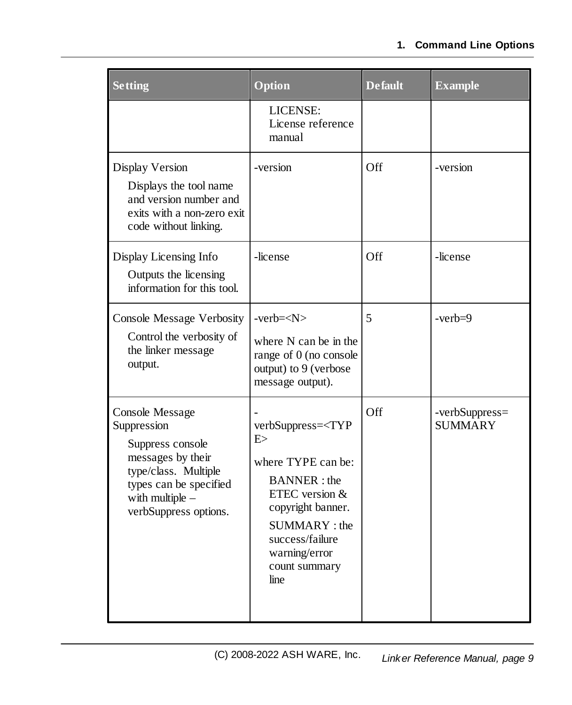| <b>Setting</b>                                                                                                                                                                 | Option                                                                                                                                                                                                             | <b>Default</b> | <b>Example</b>                   |
|--------------------------------------------------------------------------------------------------------------------------------------------------------------------------------|--------------------------------------------------------------------------------------------------------------------------------------------------------------------------------------------------------------------|----------------|----------------------------------|
|                                                                                                                                                                                | LICENSE:<br>License reference<br>manual                                                                                                                                                                            |                |                                  |
| Display Version<br>Displays the tool name<br>and version number and<br>exits with a non-zero exit<br>code without linking.                                                     | -version                                                                                                                                                                                                           | Off            | -version                         |
| Display Licensing Info<br>Outputs the licensing<br>information for this tool.                                                                                                  | -license                                                                                                                                                                                                           | Off            | -license                         |
| <b>Console Message Verbosity</b><br>Control the verbosity of<br>the linker message<br>output.                                                                                  | $-verb=$<br>where N can be in the<br>range of 0 (no console<br>output) to 9 (verbose<br>message output).                                                                                                           | 5              | $-verb=9$                        |
| <b>Console Message</b><br>Suppression<br>Suppress console<br>messages by their<br>type/class. Multiple<br>types can be specified<br>with multiple $-$<br>verbSuppress options. | verbSuppress= <typ<br>E &gt;<br/>where TYPE can be:<br/><b>BANNER</b>: the<br/>ETEC version &amp;<br/>copyright banner.<br/>SUMMARY: the<br/>success/failure<br/>warning/error<br/>count summary<br/>line</typ<br> | Off            | -verbSuppress=<br><b>SUMMARY</b> |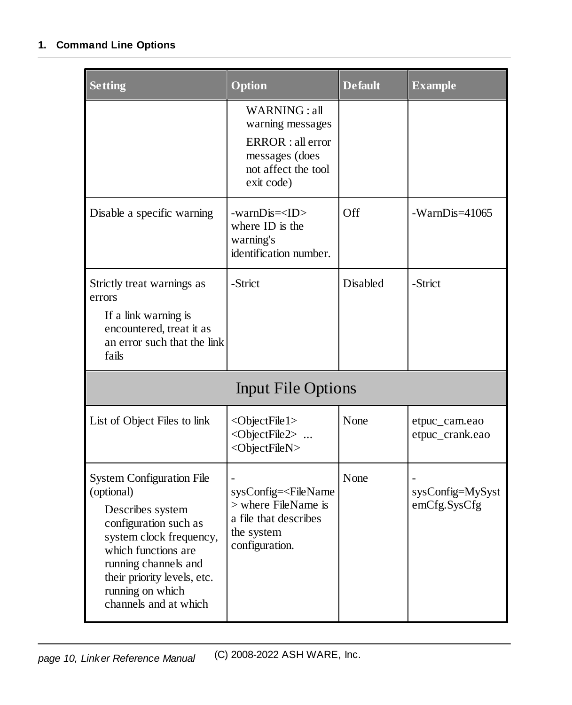| <b>Setting</b>                                                                                                                                                                                                                                    | Option                                                                                                                                | <b>Default</b> | <b>Example</b>                   |
|---------------------------------------------------------------------------------------------------------------------------------------------------------------------------------------------------------------------------------------------------|---------------------------------------------------------------------------------------------------------------------------------------|----------------|----------------------------------|
|                                                                                                                                                                                                                                                   | WARNING: all<br>warning messages<br>ERROR : all error<br>messages (does<br>not affect the tool<br>exit code)                          |                |                                  |
| Disable a specific warning                                                                                                                                                                                                                        | -warnDis= <id><br/>where ID is the<br/>warning's<br/>identification number.</id>                                                      | Off            | $-WarnDis=41065$                 |
| Strictly treat warnings as<br>errors                                                                                                                                                                                                              | -Strict                                                                                                                               | Disabled       | -Strict                          |
| If a link warning is<br>encountered, treat it as<br>an error such that the link<br>fails                                                                                                                                                          |                                                                                                                                       |                |                                  |
|                                                                                                                                                                                                                                                   | <b>Input File Options</b>                                                                                                             |                |                                  |
| List of Object Files to link                                                                                                                                                                                                                      | <objectfile1><br/><objectfile2> <br/><objectfilen></objectfilen></objectfile2></objectfile1>                                          | None           | etpuc_cam.eao<br>etpuc_crank.eao |
| <b>System Configuration File</b><br>(optional)<br>Describes system<br>configuration such as<br>system clock frequency,<br>which functions are<br>running channels and<br>their priority levels, etc.<br>running on which<br>channels and at which | sysConfig= <filename<br><math>&gt;</math> where FileName is<br/>a file that describes<br/>the system<br/>configuration.</filename<br> | None           | sysConfig=MySyst<br>emCfg.SysCfg |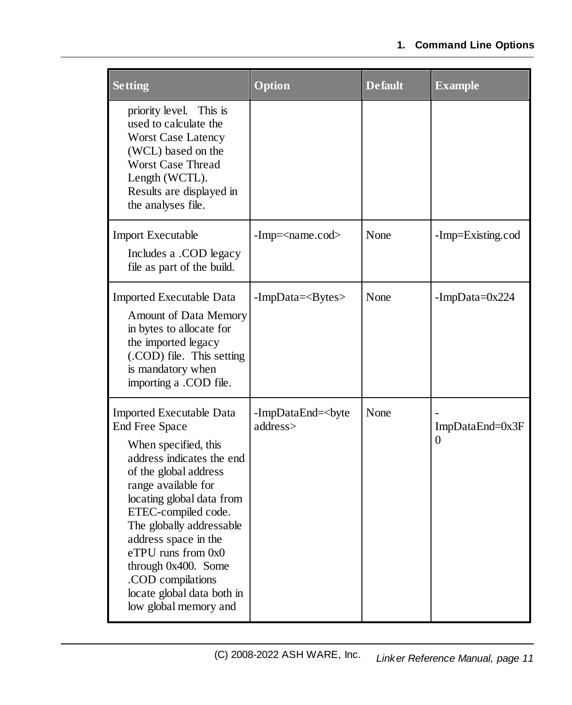| <b>Setting</b>                                                                                                                                                                                                                                                                                                                                                                                 | Option                           | <b>Default</b> | <b>Example</b>              |
|------------------------------------------------------------------------------------------------------------------------------------------------------------------------------------------------------------------------------------------------------------------------------------------------------------------------------------------------------------------------------------------------|----------------------------------|----------------|-----------------------------|
| priority level. This is<br>used to calculate the<br><b>Worst Case Latency</b><br>(WCL) based on the<br><b>Worst Case Thread</b><br>Length (WCTL).<br>Results are displayed in<br>the analyses file.                                                                                                                                                                                            |                                  |                |                             |
| <b>Import Executable</b><br>Includes a .COD legacy<br>file as part of the build.                                                                                                                                                                                                                                                                                                               | $-Imp = <$ name.cod              | None           | -Imp=Existing.cod           |
| Imported Executable Data<br><b>Amount of Data Memory</b><br>in bytes to allocate for<br>the imported legacy<br>(.COD) file. This setting<br>is mandatory when<br>importing a .COD file.                                                                                                                                                                                                        | $-ImpData=<]$ Bytes $>$          | None           | -ImpData= $0x224$           |
| <b>Imported Executable Data</b><br><b>End Free Space</b><br>When specified, this<br>address indicates the end<br>of the global address<br>range available for<br>locating global data from<br>ETEC-compiled code.<br>The globally addressable<br>address space in the<br>eTPU runs from 0x0<br>through 0x400. Some<br>.COD compilations<br>locate global data both in<br>low global memory and | -ImpDataEnd=<br>byte<br>address> | None           | ImpDataEnd=0x3F<br>$\Omega$ |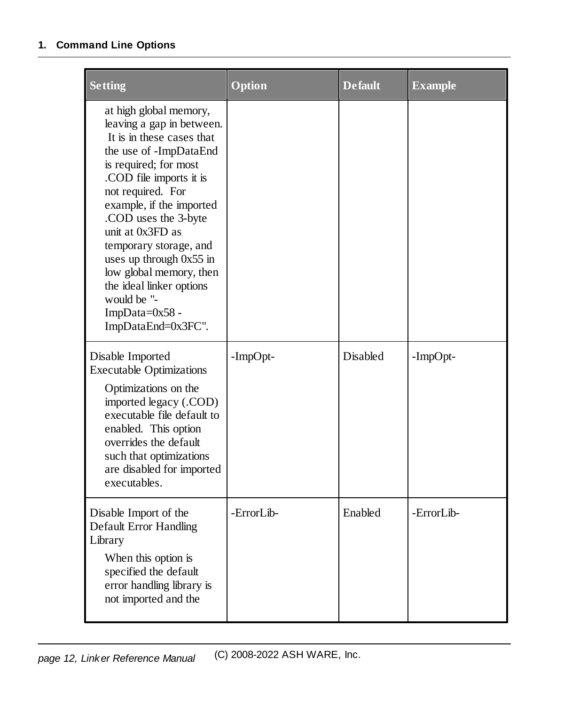| <b>Setting</b>                                                                                                                                                                                                                                                                                                                                                                                                                   | Option     | <b>Default</b> | <b>Example</b> |
|----------------------------------------------------------------------------------------------------------------------------------------------------------------------------------------------------------------------------------------------------------------------------------------------------------------------------------------------------------------------------------------------------------------------------------|------------|----------------|----------------|
| at high global memory,<br>leaving a gap in between.<br>It is in these cases that<br>the use of -ImpDataEnd<br>is required; for most<br>.COD file imports it is<br>not required. For<br>example, if the imported<br>.COD uses the 3-byte<br>unit at 0x3FD as<br>temporary storage, and<br>uses up through $0x55$ in<br>low global memory, then<br>the ideal linker options<br>would be "-<br>ImpData=0x58 -<br>ImpDataEnd=0x3FC". |            |                |                |
| Disable Imported<br><b>Executable Optimizations</b><br>Optimizations on the<br>imported legacy (.COD)<br>executable file default to<br>enabled. This option<br>overrides the default<br>such that optimizations<br>are disabled for imported<br>executables.                                                                                                                                                                     | -ImpOpt-   | Disabled       | -ImpOpt-       |
| Disable Import of the<br>Default Error Handling<br>Library<br>When this option is<br>specified the default<br>error handling library is<br>not imported and the                                                                                                                                                                                                                                                                  | -ErrorLib- | Enabled        | -ErrorLib-     |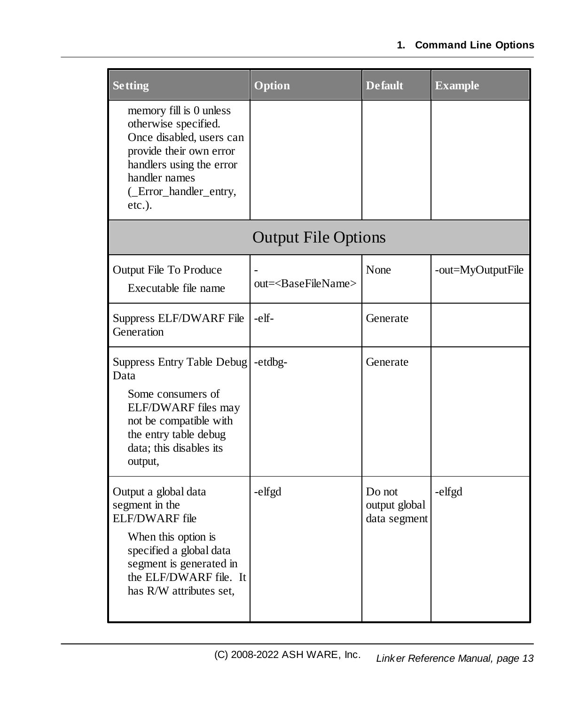| <b>Setting</b>                                                                                                                                                                                    | Option                             | <b>Default</b>                          | <b>Example</b>    |
|---------------------------------------------------------------------------------------------------------------------------------------------------------------------------------------------------|------------------------------------|-----------------------------------------|-------------------|
| memory fill is 0 unless<br>otherwise specified.<br>Once disabled, users can<br>provide their own error<br>handlers using the error<br>handler names<br>(_Error_handler_entry,<br>$etc.$ ).        |                                    |                                         |                   |
|                                                                                                                                                                                                   | <b>Output File Options</b>         |                                         |                   |
| Output File To Produce<br>Executable file name                                                                                                                                                    | out= <basefilename></basefilename> | None                                    | -out=MyOutputFile |
| Suppress ELF/DWARF File<br>Generation                                                                                                                                                             | -elf-                              | Generate                                |                   |
| <b>Suppress Entry Table Debug</b><br>Data<br>Some consumers of<br>ELF/DWARF files may<br>not be compatible with<br>the entry table debug<br>data; this disables its<br>output,                    | -etdbg-                            | Generate                                |                   |
| Output a global data<br>segment in the<br><b>ELF/DWARF</b> file<br>When this option is<br>specified a global data<br>segment is generated in<br>the ELF/DWARF file. It<br>has R/W attributes set, | -elfgd                             | Do not<br>output global<br>data segment | -elfgd            |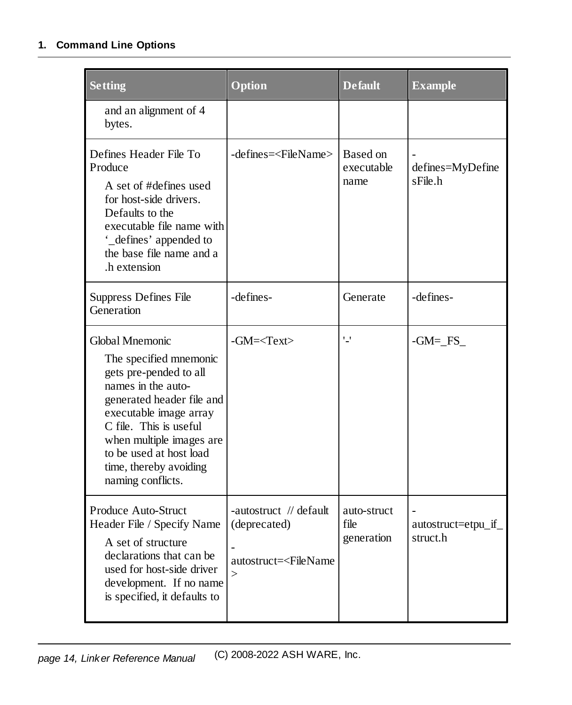| <b>Setting</b>                                                                                                                                                                                                                                                                   | Option                                                                                             | <b>Default</b>                    | <b>Example</b>                  |
|----------------------------------------------------------------------------------------------------------------------------------------------------------------------------------------------------------------------------------------------------------------------------------|----------------------------------------------------------------------------------------------------|-----------------------------------|---------------------------------|
| and an alignment of 4<br>bytes.                                                                                                                                                                                                                                                  |                                                                                                    |                                   |                                 |
| Defines Header File To<br>Produce<br>A set of #defines used<br>for host-side drivers.<br>Defaults to the<br>executable file name with<br>'_defines' appended to<br>the base file name and a<br>.h extension                                                                      | -defines= <filename></filename>                                                                    | Based on<br>executable<br>name    | defines=MyDefine<br>sFile.h     |
| Suppress Defines File<br>Generation                                                                                                                                                                                                                                              | -defines-                                                                                          | Generate                          | -defines-                       |
| Global Mnemonic<br>The specified mnemonic<br>gets pre-pended to all<br>names in the auto-<br>generated header file and<br>executable image array<br>C file. This is useful<br>when multiple images are<br>to be used at host load<br>time, thereby avoiding<br>naming conflicts. | $-GM = $                                                                                           | '_'                               | $-GM = FS$                      |
| Produce Auto-Struct<br>Header File / Specify Name<br>A set of structure<br>declarations that can be<br>used for host-side driver<br>development. If no name<br>is specified, it defaults to                                                                                      | -autostruct // default<br>(deprecated)<br>autostruct= <filename<br><math>\geq</math></filename<br> | auto-struct<br>file<br>generation | autostruct=etpu_if_<br>struct.h |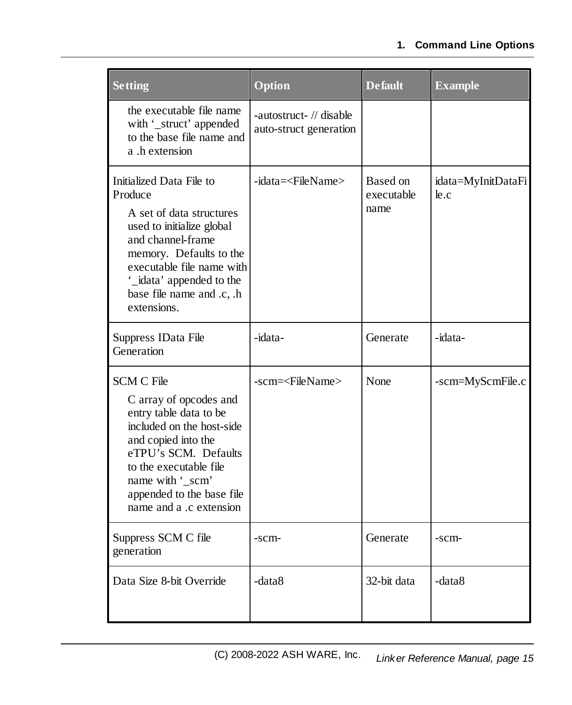| <b>Setting</b>                                                                                                                                                                                                                                          | Option                                            | <b>Default</b>                 | <b>Example</b>             |
|---------------------------------------------------------------------------------------------------------------------------------------------------------------------------------------------------------------------------------------------------------|---------------------------------------------------|--------------------------------|----------------------------|
| the executable file name<br>with '_struct' appended<br>to the base file name and<br>a .h extension                                                                                                                                                      | -autostruct- // disable<br>auto-struct generation |                                |                            |
| Initialized Data File to<br>Produce<br>A set of data structures<br>used to initialize global<br>and channel-frame<br>memory. Defaults to the<br>executable file name with<br>'_idata' appended to the<br>base file name and .c, .h<br>extensions.       | -idata= <filename></filename>                     | Based on<br>executable<br>name | idata=MyInitDataFi<br>le.c |
| Suppress IData File<br>Generation                                                                                                                                                                                                                       | -idata-                                           | Generate                       | -idata-                    |
| <b>SCM C File</b><br>C array of opcodes and<br>entry table data to be<br>included on the host-side<br>and copied into the<br>eTPU's SCM. Defaults<br>to the executable file<br>name with '_scm'<br>appended to the base file<br>name and a .c extension | -scm= <filename></filename>                       | None                           | -scm=MyScmFile.c           |
| Suppress SCM C file<br>generation                                                                                                                                                                                                                       | -scm-                                             | Generate                       | -scm-                      |
| Data Size 8-bit Override                                                                                                                                                                                                                                | -data8                                            | 32-bit data                    | -data8                     |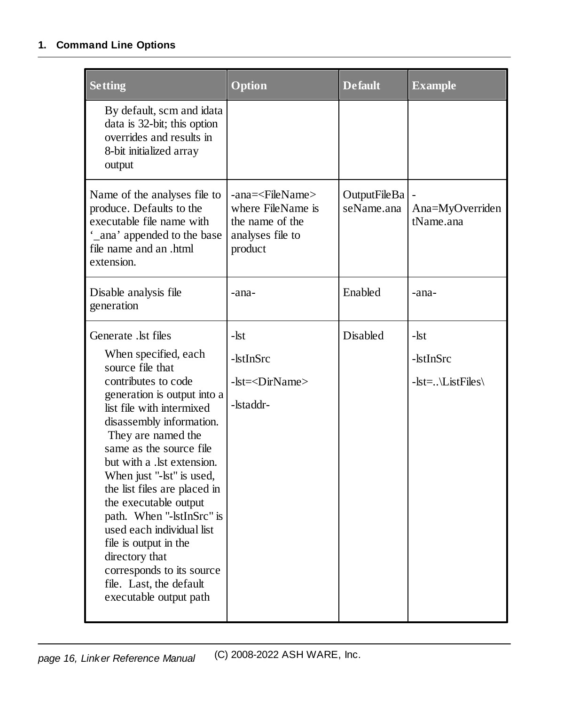| <b>Setting</b>                                                                                                                                                                                                                                                                                                                                                                                                                                                                                                                             | <b>Option</b>                                                                                                                          | <b>Default</b> | <b>Example</b>                            |  |
|--------------------------------------------------------------------------------------------------------------------------------------------------------------------------------------------------------------------------------------------------------------------------------------------------------------------------------------------------------------------------------------------------------------------------------------------------------------------------------------------------------------------------------------------|----------------------------------------------------------------------------------------------------------------------------------------|----------------|-------------------------------------------|--|
| By default, scm and idata<br>data is 32-bit; this option<br>overrides and results in<br>8-bit initialized array<br>output                                                                                                                                                                                                                                                                                                                                                                                                                  |                                                                                                                                        |                |                                           |  |
| Name of the analyses file to<br>produce. Defaults to the<br>executable file name with<br>_ana' appended to the base<br>file name and an .html<br>extension.                                                                                                                                                                                                                                                                                                                                                                                | -ana= <filename><br/>OutputFileBa<br/>where FileName is<br/>seName.ana<br/>the name of the<br/>analyses file to<br/>product</filename> |                | Ana=MyOverriden<br>tName.ana              |  |
| Disable analysis file<br>generation                                                                                                                                                                                                                                                                                                                                                                                                                                                                                                        | -ana-                                                                                                                                  | Enabled        | -ana-                                     |  |
| Generate .lst files<br>When specified, each<br>source file that<br>contributes to code<br>generation is output into a<br>list file with intermixed<br>disassembly information.<br>They are named the<br>same as the source file<br>but with a .lst extension.<br>When just "-lst" is used,<br>the list files are placed in<br>the executable output<br>path. When "-lstInSrc" is<br>used each individual list<br>file is output in the<br>directory that<br>corresponds to its source<br>file. Last, the default<br>executable output path | -lst<br>-lstInSrc<br>-lst= <dirname><br/>-lstaddr-</dirname>                                                                           | Disabled       | -lst<br>-lstInSrc<br>$-lst =$ \ListFiles\ |  |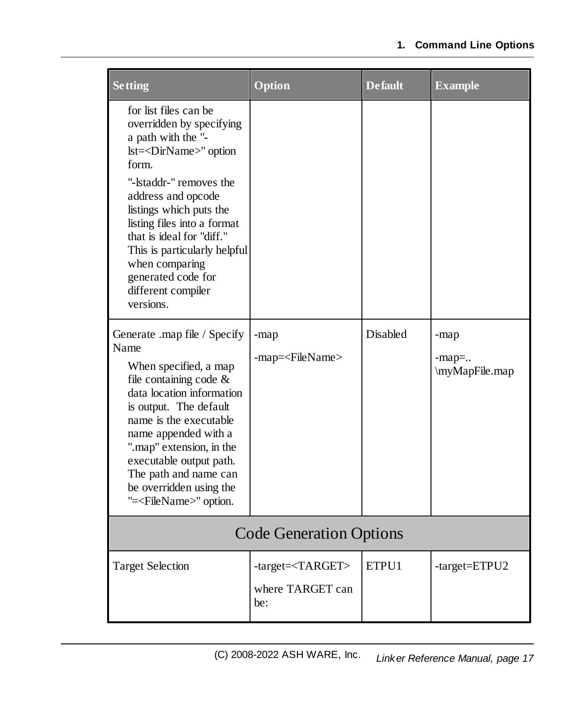| <b>Setting</b>                                                                                                                                                                                                                                                                                                                                                                     | Option                                                  | <b>Default</b> | <b>Example</b>                     |  |  |  |  |
|------------------------------------------------------------------------------------------------------------------------------------------------------------------------------------------------------------------------------------------------------------------------------------------------------------------------------------------------------------------------------------|---------------------------------------------------------|----------------|------------------------------------|--|--|--|--|
| for list files can be<br>overridden by specifying<br>a path with the "-<br>lst= <dirname>" option<br/>form.<br/>"-Istaddr-" removes the<br/>address and opcode<br/>listings which puts the<br/>listing files into a format<br/>that is ideal for "diff."<br/>This is particularly helpful<br/>when comparing<br/>generated code for<br/>different compiler<br/>versions.</dirname> |                                                         |                |                                    |  |  |  |  |
| Generate .map file / Specify<br>Name<br>When specified, a map<br>file containing code $\&$<br>data location information<br>is output. The default<br>name is the executable<br>name appended with a<br>".map" extension, in the<br>executable output path.<br>The path and name can<br>be overridden using the<br>"= <filename>" option.</filename>                                | -map<br>-map= <filename></filename>                     | Disabled       | -map<br>$-map =$<br>\myMapFile.map |  |  |  |  |
| <b>Code Generation Options</b>                                                                                                                                                                                                                                                                                                                                                     |                                                         |                |                                    |  |  |  |  |
| <b>Target Selection</b>                                                                                                                                                                                                                                                                                                                                                            | -target= <target><br/>where TARGET can<br/>be:</target> | ETPU1          | -target=ETPU2                      |  |  |  |  |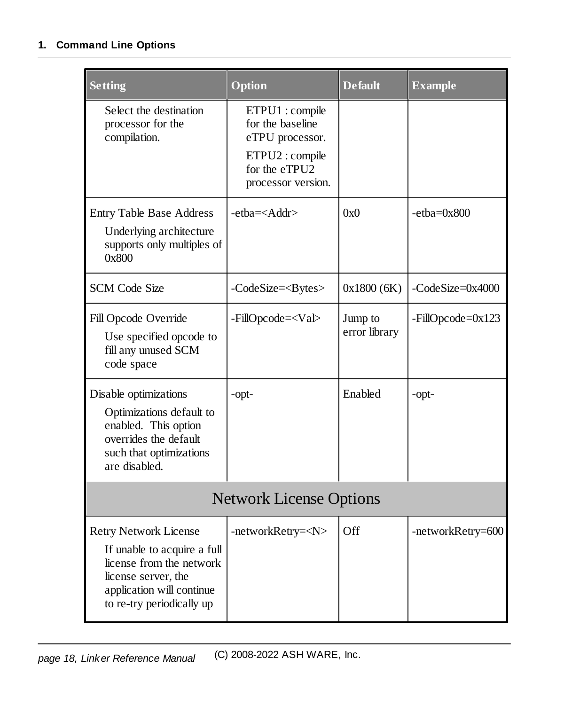| <b>Setting</b>                                                                                                                                                           | Option                                                                                                          | <b>Default</b>           | <b>Example</b>      |  |  |  |  |  |
|--------------------------------------------------------------------------------------------------------------------------------------------------------------------------|-----------------------------------------------------------------------------------------------------------------|--------------------------|---------------------|--|--|--|--|--|
| Select the destination<br>processor for the<br>compilation.                                                                                                              | ETPU1 : compile<br>for the baseline<br>eTPU processor.<br>ETPU2: compile<br>for the eTPU2<br>processor version. |                          |                     |  |  |  |  |  |
| <b>Entry Table Base Address</b><br>Underlying architecture<br>supports only multiples of<br>0x800                                                                        | -etba= <addr></addr>                                                                                            | 0x0                      | $-etha = 0x800$     |  |  |  |  |  |
| <b>SCM Code Size</b>                                                                                                                                                     | $-CodeSize = Bytes$                                                                                             | 0x1800(6K)               | -CodeSize=0x4000    |  |  |  |  |  |
| Fill Opcode Override<br>Use specified opcode to<br>fill any unused SCM<br>code space                                                                                     | -FillOpcode= <val></val>                                                                                        | Jump to<br>error library | $-FillOpcode=0x123$ |  |  |  |  |  |
| Disable optimizations<br>Optimizations default to<br>enabled. This option<br>overrides the default<br>such that optimizations<br>are disabled.                           | -opt-                                                                                                           | Enabled                  | -opt-               |  |  |  |  |  |
| <b>Network License Options</b>                                                                                                                                           |                                                                                                                 |                          |                     |  |  |  |  |  |
| <b>Retry Network License</b><br>If unable to acquire a full<br>license from the network<br>license server, the<br>application will continue<br>to re-try periodically up | -networkRetry= <n></n>                                                                                          | Off                      | -networkRetry=600   |  |  |  |  |  |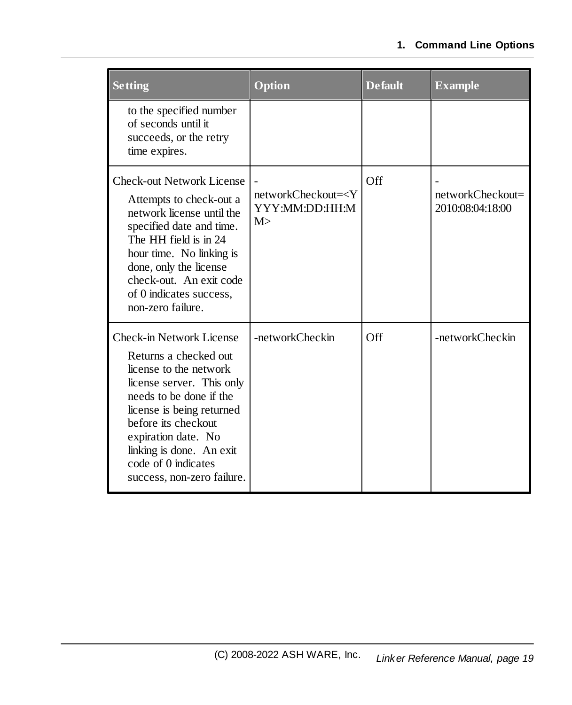| <b>Setting</b>                                                                                                                                                                                                                                                                                  | Option                                                 | <b>Default</b> | <b>Example</b>                       |  |  |
|-------------------------------------------------------------------------------------------------------------------------------------------------------------------------------------------------------------------------------------------------------------------------------------------------|--------------------------------------------------------|----------------|--------------------------------------|--|--|
| to the specified number<br>of seconds until it<br>succeeds, or the retry<br>time expires.                                                                                                                                                                                                       |                                                        |                |                                      |  |  |
| <b>Check-out Network License</b><br>Attempts to check-out a<br>network license until the<br>specified date and time.<br>The HH field is in 24<br>hour time. No linking is<br>done, only the license<br>check-out. An exit code<br>of 0 indicates success,<br>non-zero failure.                  | networkCheckout= <y<br>YYY:MM:DD:HH:M<br/>M&gt;</y<br> | Off            | networkCheckout=<br>2010:08:04:18:00 |  |  |
| Check-in Network License<br>Returns a checked out<br>license to the network<br>license server. This only<br>needs to be done if the<br>license is being returned<br>before its checkout<br>expiration date. No<br>linking is done. An exit<br>code of 0 indicates<br>success, non-zero failure. | -networkCheckin                                        | Off            | -networkCheckin                      |  |  |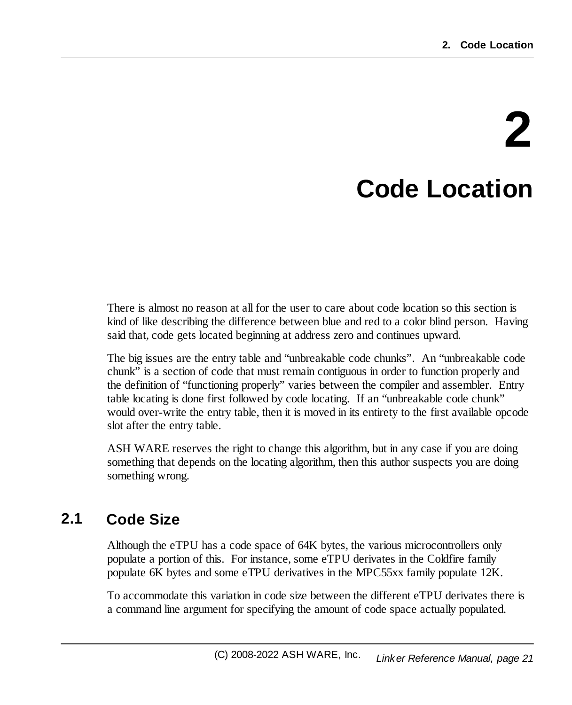# **2 Code Location**

<span id="page-20-0"></span>There is almost no reason at all for the user to care about code location so this section is kind of like describing the difference between blue and red to a color blind person. Having said that, code gets located beginning at address zero and continues upward.

The big issues are the entry table and "unbreakable code chunks". An "unbreakable code chunk" is a section of code that must remain contiguous in order to function properly and the definition of "functioning properly" varies between the compiler and assembler. Entry table locating is done first followed by code locating. If an "unbreakable code chunk" would over-write the entry table, then it is moved in its entirety to the first available opcode slot after the entry table.

ASH WARE reserves the right to change this algorithm, but in any case if you are doing something that depends on the locating algorithm, then this author suspects you are doing something wrong.

# <span id="page-20-1"></span>**2.1 Code Size**

Although the eTPU has a code space of 64K bytes, the various microcontrollers only populate a portion of this. For instance, some eTPU derivates in the Coldfire family populate 6K bytes and some eTPU derivatives in the MPC55xx family populate 12K.

To accommodate this variation in code size between the different eTPU derivates there is a command line argument for specifying the amount of code space actually populated.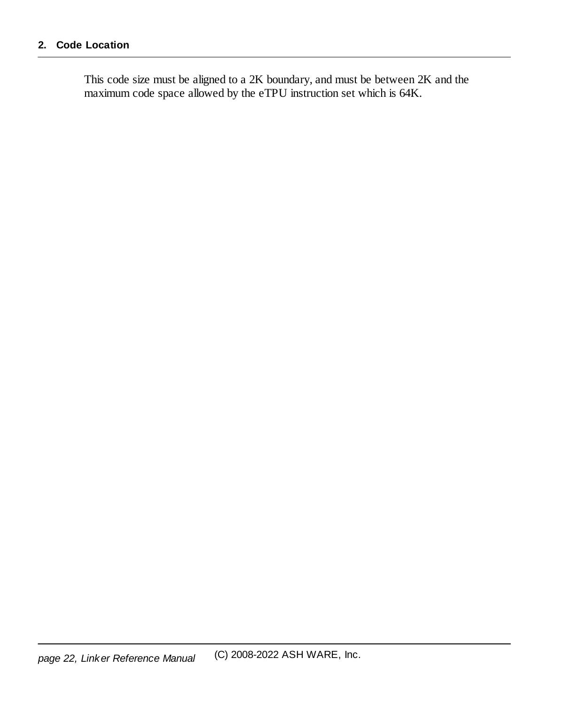This code size must be aligned to a 2K boundary, and must be between 2K and the maximum code space allowed by the eTPU instruction set which is 64K.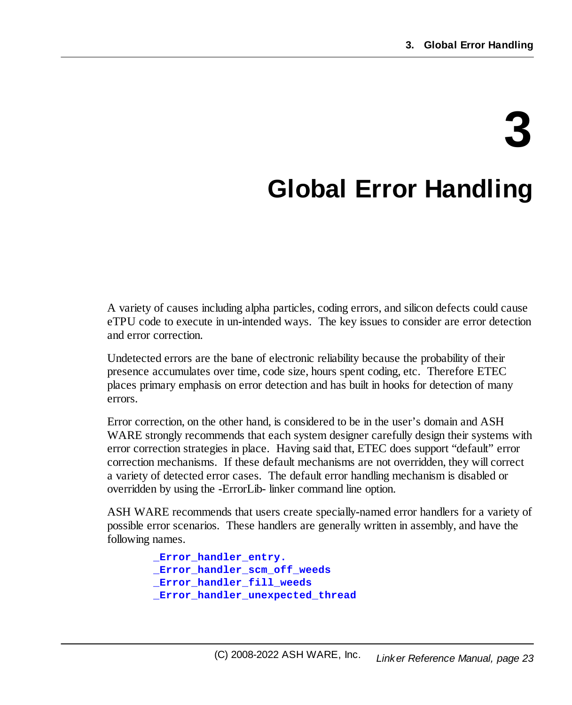# **3**

# <span id="page-22-0"></span>**Global Error Handling**

A variety of causes including alpha particles, coding errors, and silicon defects could cause eTPU code to execute in un-intended ways. The key issues to consider are error detection and error correction.

Undetected errors are the bane of electronic reliability because the probability of their presence accumulates over time, code size, hours spent coding, etc. Therefore ETEC places primary emphasis on error detection and has built in hooks for detection of many errors.

Error correction, on the other hand, is considered to be in the user's domain and ASH WARE strongly recommends that each system designer carefully design their systems with error correction strategies in place. Having said that, ETEC does support "default" error correction mechanisms. If these default mechanisms are not overridden, they will correct a variety of detected error cases. The default error handling mechanism is disabled or overridden by using the -ErrorLib- linker command line option.

ASH WARE recommends that users create specially-named error handlers for a variety of possible error scenarios. These handlers are generally written in assembly, and have the following names.

```
_Error_handler_entry.
_Error_handler_scm_off_weeds
_Error_handler_fill_weeds
_Error_handler_unexpected_thread
```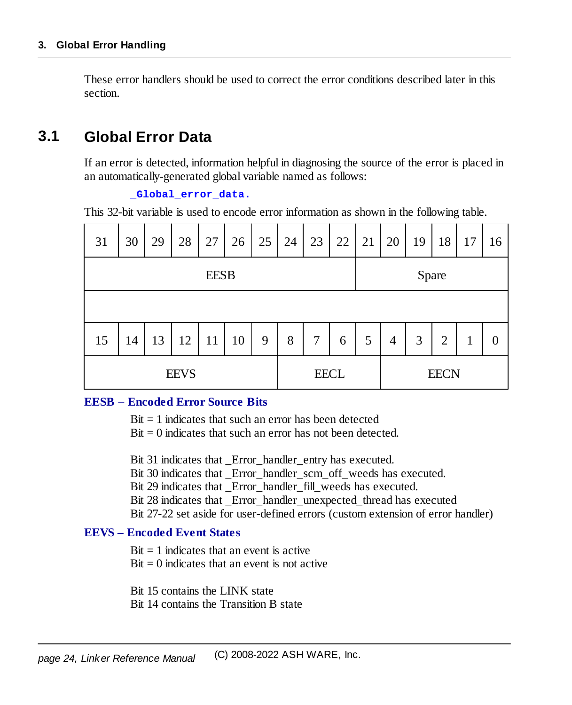These error handlers should be used to correct the error conditions described later in this section.

### <span id="page-23-0"></span>**3.1 Global Error Data**

If an error is detected, information helpful in diagnosing the source of the error is placed in an automatically-generated global variable named as follows:

#### **\_Global\_error\_data.**

This 32-bit variable is used to encode error information as shown in the following table.

| 31          | 30 | 29 | 28          | 27 | 26 | 25          | 24 | 23             | 22 | 21    | 20             | 19 | 18             | 17 | 16 |
|-------------|----|----|-------------|----|----|-------------|----|----------------|----|-------|----------------|----|----------------|----|----|
| <b>EESB</b> |    |    |             |    |    |             |    |                |    | Spare |                |    |                |    |    |
|             |    |    |             |    |    |             |    |                |    |       |                |    |                |    |    |
| 15          | 14 | 13 | 12          | 11 | 10 | 9           | 8  | $\overline{7}$ | 6  | 5     | $\overline{4}$ | 3  | $\overline{2}$ | 1  | 0  |
| <b>EEVS</b> |    |    | <b>EECL</b> |    |    | <b>EECN</b> |    |                |    |       |                |    |                |    |    |

#### **EESB – Encoded Error Source Bits**

 $Bit = 1$  indicates that such an error has been detected

 $Bit = 0$  indicates that such an error has not been detected.

Bit 31 indicates that Error handler entry has executed.

Bit 30 indicates that Error handler scm\_off\_weeds has executed.

Bit 29 indicates that Error handler fill weeds has executed.

Bit 28 indicates that \_Error\_handler\_unexpected\_thread has executed

Bit 27-22 set aside for user-defined errors (custom extension of error handler)

#### **EEVS – Encoded Event States**

 $Bit = 1$  indicates that an event is active

 $Bit = 0$  indicates that an event is not active

Bit 15 contains the LINK state

Bit 14 contains the Transition B state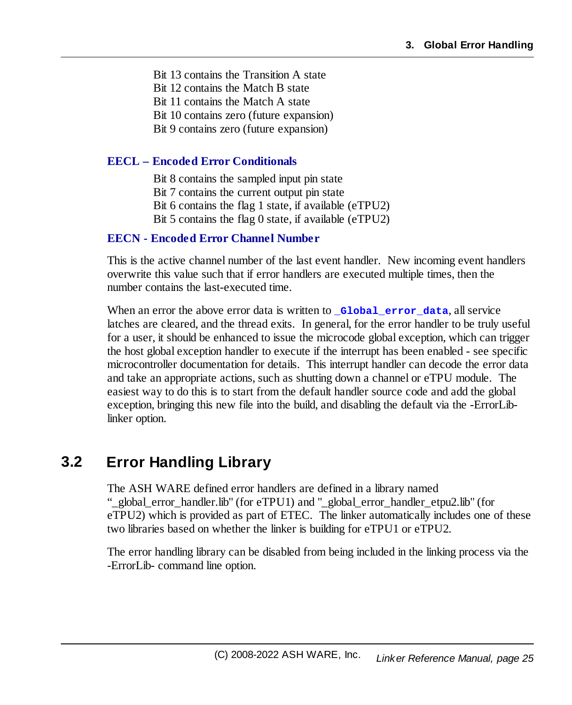Bit 13 contains the Transition A state Bit 12 contains the Match B state Bit 11 contains the Match A state Bit 10 contains zero (future expansion) Bit 9 contains zero (future expansion)

#### **EECL – Encoded Error Conditionals**

Bit 8 contains the sampled input pin state Bit 7 contains the current output pin state Bit 6 contains the flag 1 state, if available (eTPU2) Bit 5 contains the flag 0 state, if available (eTPU2)

#### **EECN - Encoded Error Channel Number**

This is the active channel number of the last event handler. New incoming event handlers overwrite this value such that if error handlers are executed multiple times, then the number contains the last-executed time.

When an error the above error data is written to **Global** error data, all service latches are cleared, and the thread exits. In general, for the error handler to be truly useful for a user, it should be enhanced to issue the microcode global exception, which can trigger the host global exception handler to execute if the interrupt has been enabled - see specific microcontroller documentation for details. This interrupt handler can decode the error data and take an appropriate actions, such as shutting down a channel or eTPU module. The easiest way to do this is to start from the default handler source code and add the global exception, bringing this new file into the build, and disabling the default via the -ErrorLiblinker option.

# <span id="page-24-0"></span>**3.2 Error Handling Library**

The ASH WARE defined error handlers are defined in a library named "\_global\_error\_handler.lib" (for eTPU1) and "\_global\_error\_handler\_etpu2.lib" (for eTPU2) which is provided as part of ETEC. The linker automatically includes one of these two libraries based on whether the linker is building for eTPU1 or eTPU2.

The error handling library can be disabled from being included in the linking process via the -ErrorLib- command line option.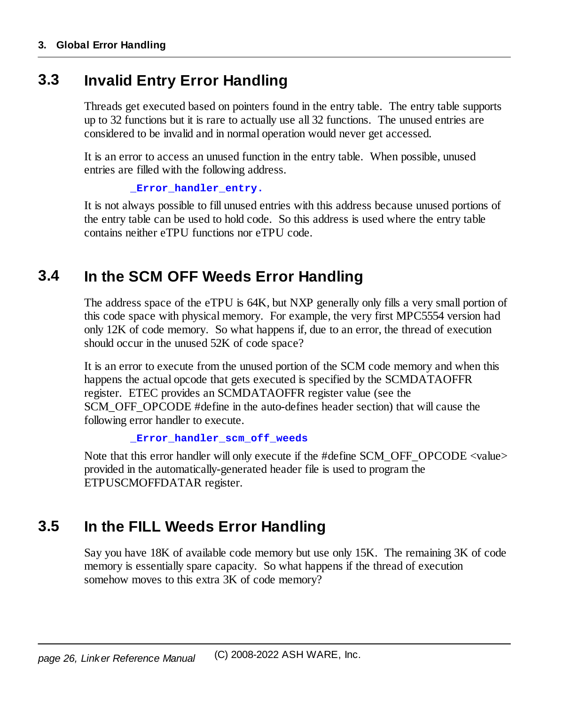### <span id="page-25-0"></span>**3.3 Invalid Entry Error Handling**

Threads get executed based on pointers found in the entry table. The entry table supports up to 32 functions but it is rare to actually use all 32 functions. The unused entries are considered to be invalid and in normal operation would never get accessed.

It is an error to access an unused function in the entry table. When possible, unused entries are filled with the following address.

```
_Error_handler_entry.
```
It is not always possible to fill unused entries with this address because unused portions of the entry table can be used to hold code. So this address is used where the entry table contains neither eTPU functions nor eTPU code.

# <span id="page-25-1"></span>**3.4 In the SCM OFF Weeds Error Handling**

The address space of the eTPU is 64K, but NXP generally only fills a very small portion of this code space with physical memory. For example, the very first MPC5554 version had only 12K of code memory. So what happens if, due to an error, the thread of execution should occur in the unused 52K of code space?

It is an error to execute from the unused portion of the SCM code memory and when this happens the actual opcode that gets executed is specified by the SCMDATAOFFR register. ETEC provides an SCMDATAOFFR register value (see the SCM\_OFF\_OPCODE #define in the auto-defines header section) that will cause the following error handler to execute.

```
_Error_handler_scm_off_weeds
```
Note that this error handler will only execute if the #define SCM\_OFF\_OPCODE <value> provided in the automatically-generated header file is used to program the ETPUSCMOFFDATAR register.

# <span id="page-25-2"></span>**3.5 In the FILL Weeds Error Handling**

Say you have 18K of available code memory but use only 15K. The remaining 3K of code memory is essentially spare capacity. So what happens if the thread of execution somehow moves to this extra 3K of code memory?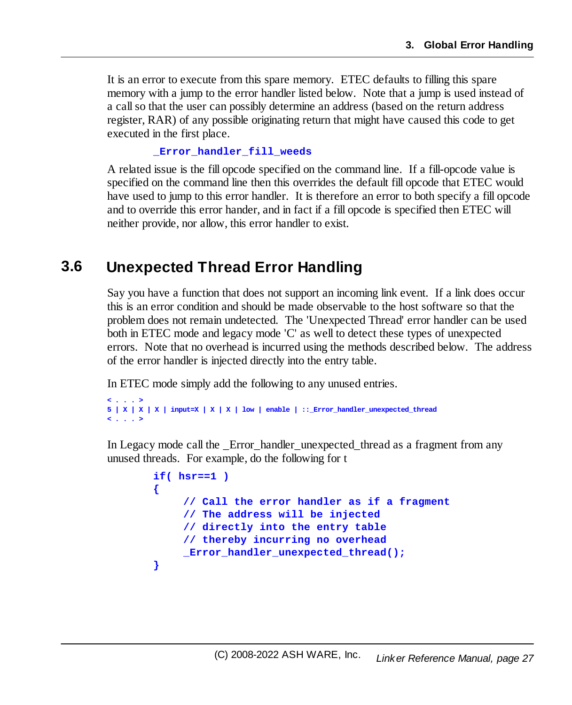It is an error to execute from this spare memory. ETEC defaults to filling this spare memory with a jump to the error handler listed below. Note that a jump is used instead of a callso that the user can possibly determine an address (based on the return address register, RAR) of any possible originating return that might have caused this code to get executed in the first place.

#### **\_Error\_handler\_fill\_weeds**

A related issue is the fill opcode specified on the command line. If a fill-opcode value is specified on the command line then this overrides the default fill opcode that ETEC would have used to jump to this error handler. It is therefore an error to both specify a fill opcode and to override this error hander, and in fact if a fill opcode is specified then ETEC will neither provide, nor allow, this error handler to exist.

### <span id="page-26-0"></span>**3.6 Unexpected Thread Error Handling**

Say you have a function that does not support an incoming link event. If a link does occur this is an error condition and should be made observable to the host software so that the problem does not remain undetected. The 'Unexpected Thread' error handler can be used both in ETEC mode and legacy mode 'C' as well to detect these types of unexpected errors. Note that no overhead is incurred using the methods described below. The address of the error handler is injected directly into the entry table.

In ETEC mode simply add the following to any unused entries.

```
< . . . >
5 | X | X | X | input=X | X | X | low | enable | ::_Error_handler_unexpected_thread
< . . . >
```
In Legacy mode call the Error handler unexpected thread as a fragment from any unused threads. For example, do the following for t

```
if( hsr==1 )
{
    // Call the error handler as if a fragment
    // The address will be injected
    // directly into the entry table
    // thereby incurring no overhead
    _Error_handler_unexpected_thread();
}
```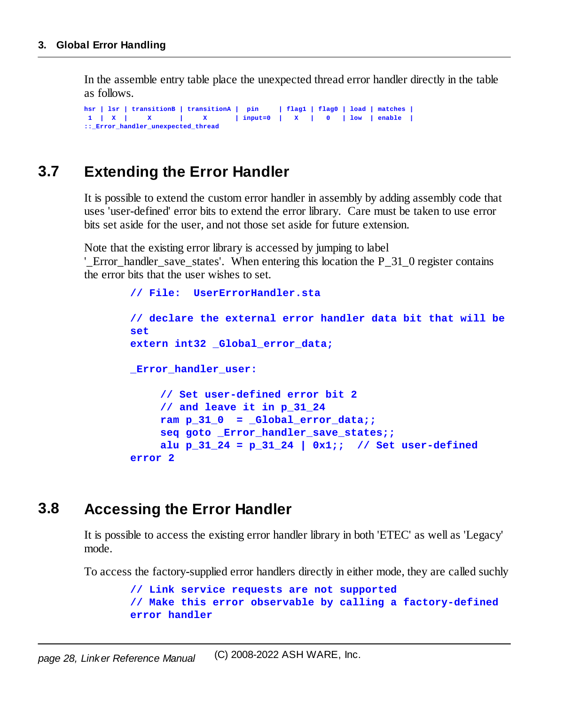In the assemble entry table place the unexpected thread error handler directly in the table as follows.

```
hsr | lsr | transitionB | transitionA | pin | flag1 | flag0 | load | matches |
1 | X | X | X | input=0 | X | 0 | low | enable |
::_Error_handler_unexpected_thread
```
### <span id="page-27-0"></span>**3.7 Extending the Error Handler**

It is possible to extend the custom error handler in assembly by adding assembly code that uses 'user-defined' error bits to extend the error library. Care must be taken to use error bits set aside for the user, and not those set aside for future extension.

Note that the existing error library is accessed by jumping to label

' Error handler save states'. When entering this location the P  $31$  0 register contains the error bits that the user wishes to set.

```
// File: UserErrorHandler.sta
// declare the external error handler data bit that will be
set
extern int32 _Global_error_data;
_Error_handler_user:
    // Set user-defined error bit 2
    // and leave it in p_31_24
    ram p 31 0 = Global error data;seq goto _Error_handler_save_states;;
    alu p 31 24 = p 31 24 | 0x1;; // Set user-defined
error 2
```
### <span id="page-27-1"></span>**3.8 Accessing the Error Handler**

It is possible to access the existing error handler library in both 'ETEC' as well as 'Legacy' mode.

To access the factory-supplied error handlers directly in either mode, they are called suchly

```
// Link service requests are not supported
// Make this error observable by calling a factory-defined
error handler
```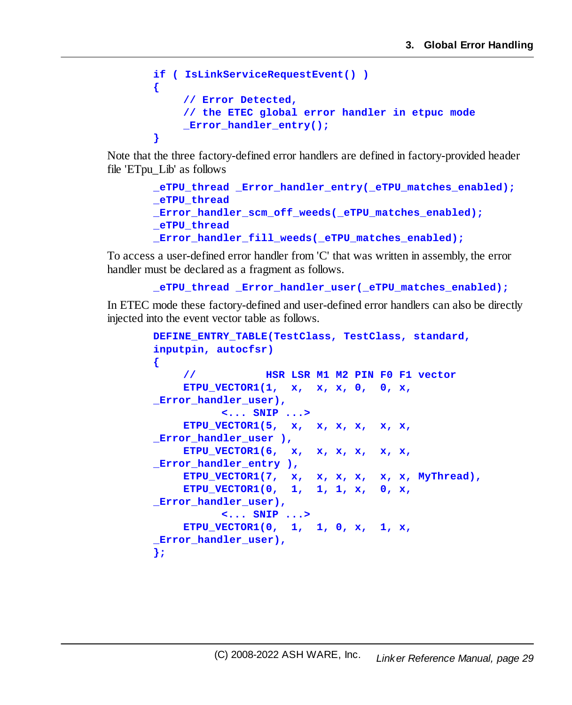```
if ( IsLinkServiceRequestEvent() )
{
    // Error Detected,
    // the ETEC global error handler in etpuc mode
    _Error_handler_entry();
}
```
Note that the three factory-defined error handlers are defined in factory-provided header file 'ETpu\_Lib' as follows

```
_eTPU_thread _Error_handler_entry(_eTPU_matches_enabled);
_eTPU_thread
Error handler scm off weeds( eTPU matches enabled);
_eTPU_thread
_Error_handler_fill_weeds(_eTPU_matches_enabled);
```
To access a user-defined error handler from 'C' that was written in assembly, the error handler must be declared as a fragment as follows.

```
_eTPU_thread _Error_handler_user(_eTPU_matches_enabled);
```
In ETEC mode these factory-defined and user-defined error handlers can also be directly injected into the event vector table as follows.

```
DEFINE_ENTRY_TABLE(TestClass, TestClass, standard,
inputpin, autocfsr)
{
    // HSR LSR M1 M2 PIN F0 F1 vector
    ETPU_VECTOR1(1, x, x, x, 0, 0, x,
Error handler user),
          <... SNIP ...>
    ETPU_VECTOR1(5, x, x, x, x, x, x,
_Error_handler_user ),
    ETPU_VECTOR1(6, x, x, x, x, x, x,
_Error_handler_entry ),
    ETPU_VECTOR1(7, x, x, x, x, x, x, MyThread),
    ETPU_VECTOR1(0, 1, 1, 1, x, 0, x,
Error handler user),
          <... SNIP ...>
    ETPU_VECTOR1(0, 1, 1, 0, x, 1, x,
Error handler user),
};
```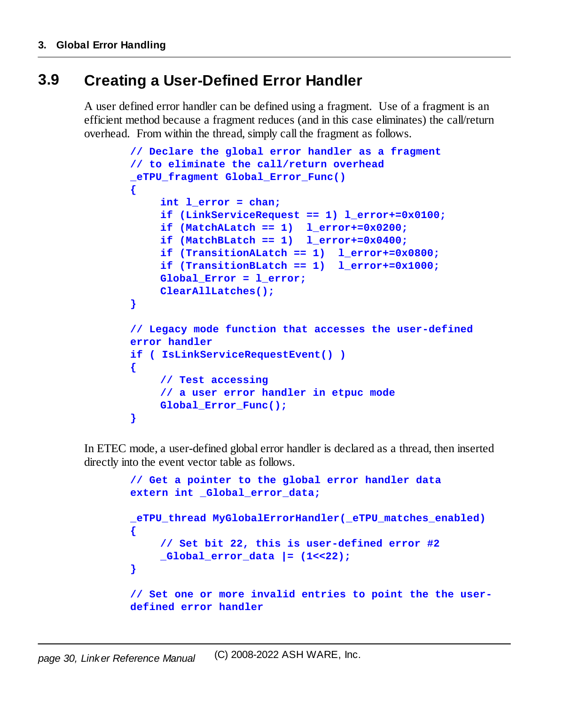## <span id="page-29-0"></span>**3.9 Creating a User-Defined Error Handler**

A user defined error handler can be defined using a fragment. Use of a fragment is an efficient method because a fragment reduces (and in this case eliminates) the call/return overhead. From within the thread, simply call the fragment as follows.

```
// Declare the global error handler as a fragment
// to eliminate the call/return overhead
_eTPU_fragment Global_Error_Func()
{
    int l_error = chan;
    if (LinkServiceRequest == 1) l_error+=0x0100;
    if (MatchALatch == 1) l_error+=0x0200;
    if (MatchBLatch == 1) l_error+=0x0400;
    if (TransitionALatch == 1) l_error+=0x0800;
    if (TransitionBLatch == 1) l_error+=0x1000;
    Global_Error = l_error;
    ClearAllLatches();
}
// Legacy mode function that accesses the user-defined
error handler
if ( IsLinkServiceRequestEvent() )
{
    // Test accessing
    // a user error handler in etpuc mode
    Global Error Func();
}
```
In ETEC mode, a user-defined global error handler is declared as a thread, then inserted directly into the event vector table as follows.

```
// Get a pointer to the global error handler data
extern int _Global_error_data;
_eTPU_thread MyGlobalErrorHandler(_eTPU_matches_enabled)
{
    // Set bit 22, this is user-defined error #2
    _Global_error_data |= (1<<22);
}
// Set one or more invalid entries to point the the user-
defined error handler
```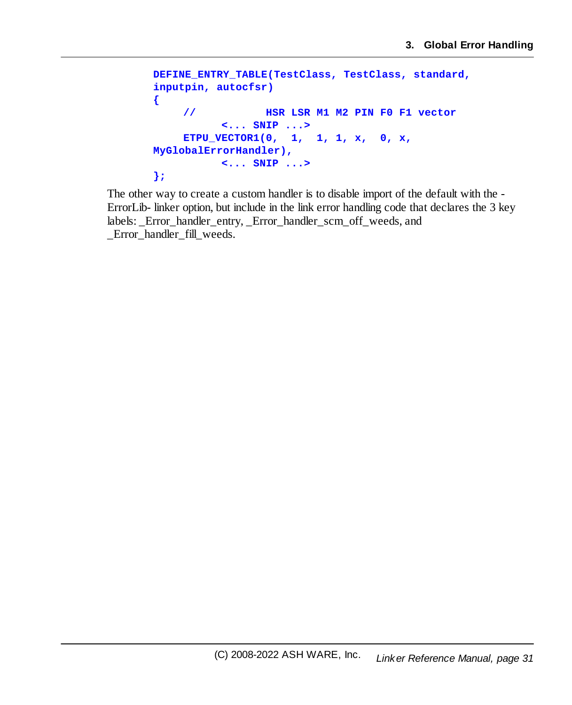```
DEFINE_ENTRY_TABLE(TestClass, TestClass, standard,
inputpin, autocfsr)
{
    // HSR LSR M1 M2 PIN F0 F1 vector
          <... SNIP ...>
    ETPU_VECTOR1(0, 1, 1, 1, x, 0, x,
MyGlobalErrorHandler),
          <... SNIP ...>
};
```
The other way to create a custom handler is to disable import of the default with the - ErrorLib- linker option, but include in the link error handling code that declares the 3 key labels: \_Error\_handler\_entry, \_Error\_handler\_scm\_off\_weeds, and \_Error\_handler\_fill\_weeds.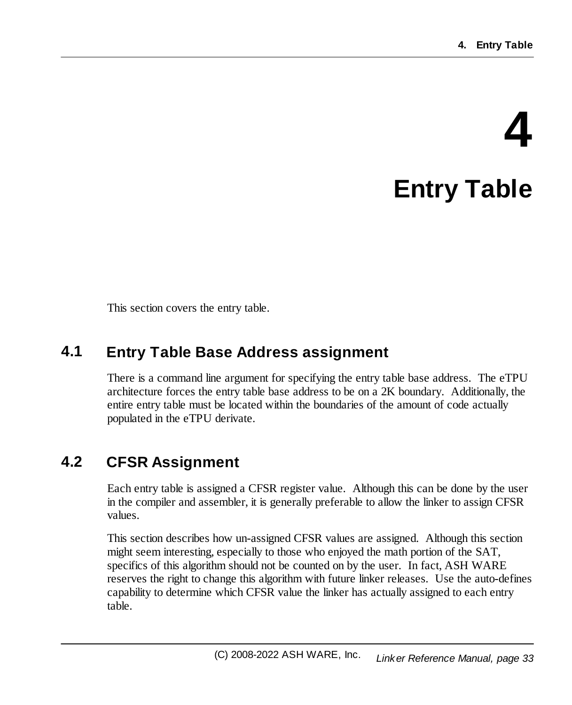# **4 Entry Table**

<span id="page-32-0"></span>This section covers the entry table.

### <span id="page-32-1"></span>**4.1 Entry Table Base Address assignment**

There is a command line argument for specifying the entry table base address. The eTPU architecture forces the entry table base address to be on a 2K boundary. Additionally, the entire entry table must be located within the boundaries of the amount of code actually populated in the eTPU derivate.

## <span id="page-32-2"></span>**4.2 CFSR Assignment**

Each entry table is assigned a CFSR register value. Although this can be done by the user in the compiler and assembler, it is generally preferable to allow the linker to assign CFSR values.

This section describes how un-assigned CFSR values are assigned. Although this section might seem interesting, especially to those who enjoyed the math portion of the SAT, specifics of this algorithm should not be counted on by the user. In fact, ASH WARE reserves the right to change this algorithm with future linker releases. Use the auto-defines capability to determine which CFSR value the linker has actually assigned to each entry table.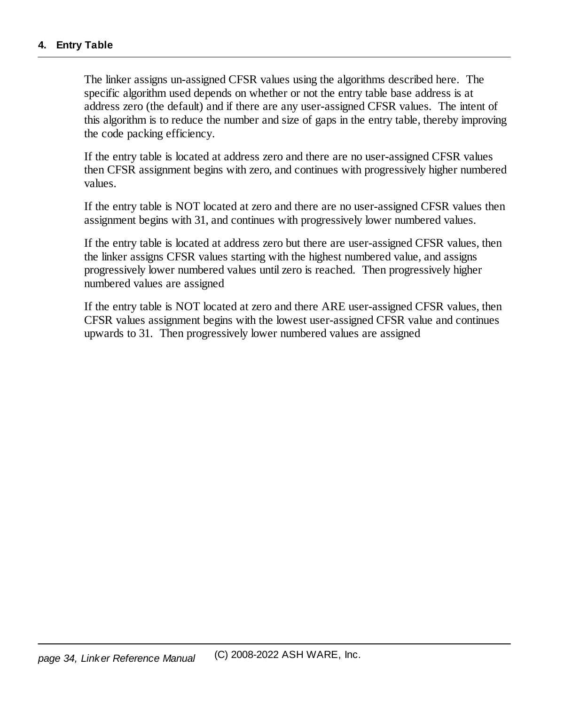The linker assigns un-assigned CFSR values using the algorithms described here. The specific algorithm used depends on whether or not the entry table base address is at address zero (the default) and if there are any user-assigned CFSR values. The intent of this algorithm is to reduce the number and size of gaps in the entry table, thereby improving the code packing efficiency.

If the entry table is located at address zero and there are no user-assigned CFSR values then CFSR assignment begins with zero, and continues with progressively higher numbered values.

If the entry table is NOT located at zero and there are no user-assigned CFSR values then assignment begins with 31, and continues with progressively lower numbered values.

If the entry table is located at address zero but there are user-assigned CFSR values, then the linker assigns CFSR values starting with the highest numbered value, and assigns progressively lower numbered values until zero is reached. Then progressively higher numbered values are assigned

If the entry table is NOT located at zero and there ARE user-assigned CFSR values, then CFSR values assignment begins with the lowest user-assigned CFSR value and continues upwards to 31. Then progressively lower numbered values are assigned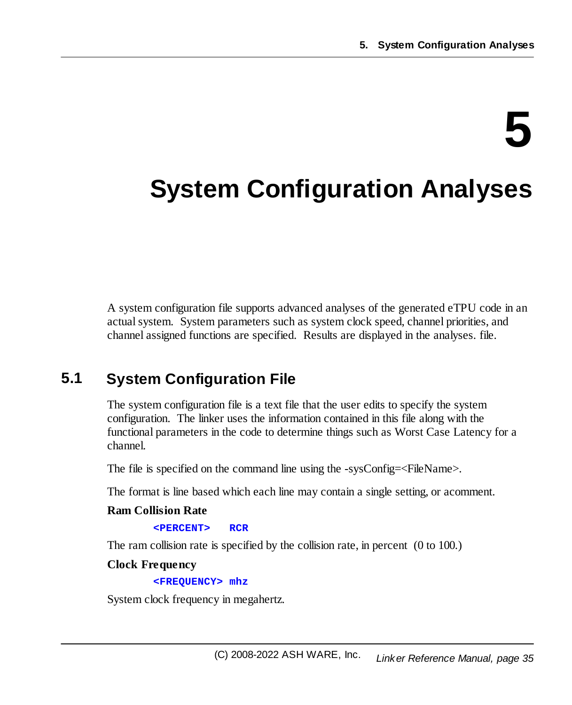# **5**

# <span id="page-34-0"></span>**System Configuration Analyses**

A system configuration file supports advanced analyses of the generated eTPU code in an actual system. System parameters such as system clock speed, channel priorities, and channel assigned functions are specified. Results are displayed in the analyses. file.

# <span id="page-34-1"></span>**5.1 System Configuration File**

The system configuration file is a text file that the user edits to specify the system configuration. The linker uses the information contained in this file along with the functional parameters in the code to determine things such as Worst Case Latency for a channel.

The file is specified on the command line using the -sysConfig=<FileName>.

The format is line based which each line may contain a single setting, or acomment.

#### **Ram Collision Rate**

**<PERCENT> RCR**

The ram collision rate is specified by the collision rate, in percent (0 to 100.)

#### **Clock Frequency**

**<FREQUENCY> mhz**

System clock frequency in megahertz.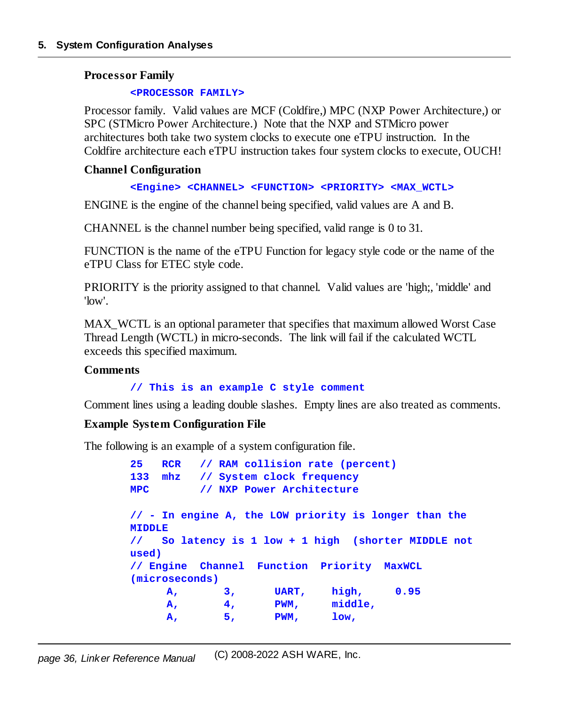#### **Processor Family**

#### **<PROCESSOR FAMILY>**

Processor family. Valid values are MCF (Coldfire,) MPC (NXP Power Architecture,) or SPC (STMicro Power Architecture.) Note that the NXP and STMicro power architectures both take two system clocks to execute one eTPU instruction. In the Coldfire architecture each eTPU instruction takes four system clocks to execute, OUCH!

#### **Channel Configuration**

#### **<Engine> <CHANNEL> <FUNCTION> <PRIORITY> <MAX\_WCTL>**

ENGINE is the engine of the channel being specified, valid values are A and B.

CHANNEL is the channel number being specified, valid range is 0 to 31.

FUNCTION is the name of the eTPU Function for legacy style code or the name of the eTPU Class for ETEC style code.

PRIORITY is the priority assigned to that channel. Valid values are 'high;, 'middle' and 'low'.

MAX WCTL is an optional parameter that specifies that maximum allowed Worst Case Thread Length (WCTL) in micro-seconds. The link will fail if the calculated WCTL exceeds this specified maximum.

#### **Comments**

**// This is an example C style comment**

Comment lines using a leading double slashes. Empty lines are also treated as comments.

#### **Example System Configuration File**

The following is an example of a system configuration file.

```
25 RCR // RAM collision rate (percent)
133 mhz // System clock frequency
MPC // NXP Power Architecture
// - In engine A, the LOW priority is longer than the
MIDDLE
// So latency is 1 low + 1 high (shorter MIDDLE not
used)
// Engine Channel Function Priority MaxWCL
(microseconds)
    A, 3, UART, high, 0.95
    A, 4, PWM, middle,
    A, 5, PWM, low,
```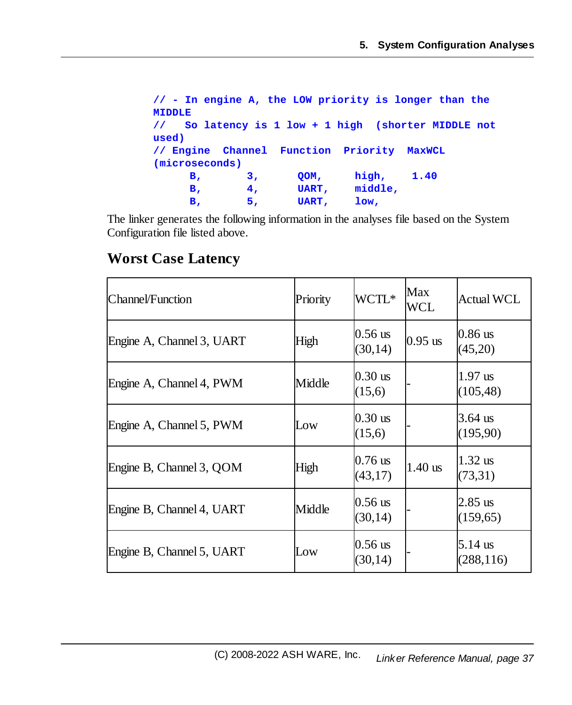```
// - In engine A, the LOW priority is longer than the
MIDDLE
// So latency is 1 low + 1 high (shorter MIDDLE not
used)
// Engine Channel Function Priority MaxWCL
(microseconds)
    B, 3, QOM, high, 1.40
    B, 4, UART, middle,
    B, 5, UART, low,
```
The linker generates the following information in the analyses file based on the System Configuration file listed above.

#### **Worst Case Latency**

| Channel/Function          | Priority | WCTL*                 | Max<br>WCL | <b>Actual WCL</b>                |
|---------------------------|----------|-----------------------|------------|----------------------------------|
| Engine A, Channel 3, UART | High     | $0.56$ us<br>(30, 14) | $0.95$ us  | $0.86$ us<br>(45,20)             |
| Engine A, Channel 4, PWM  | Middle   | $0.30$ us<br>(15,6)   |            | $1.97$ us<br>(105, 48)           |
| Engine A, Channel 5, PWM  | Low      | $0.30$ us<br>(15,6)   |            | 3.64 $\,\mathrm{us}$<br>(195,90) |
| Engine B, Channel 3, QOM  | High     | 10.76 us<br>(43,17)   | $1.40$ us  | $1.32$ us<br>(73,31)             |
| Engine B, Channel 4, UART | Middle   | $0.56$ us<br>(30, 14) |            | $2.85$ us<br>(159, 65)           |
| Engine B, Channel 5, UART | Low      | $0.56$ us<br>(30, 14) |            | $5.14$ us<br>(288, 116)          |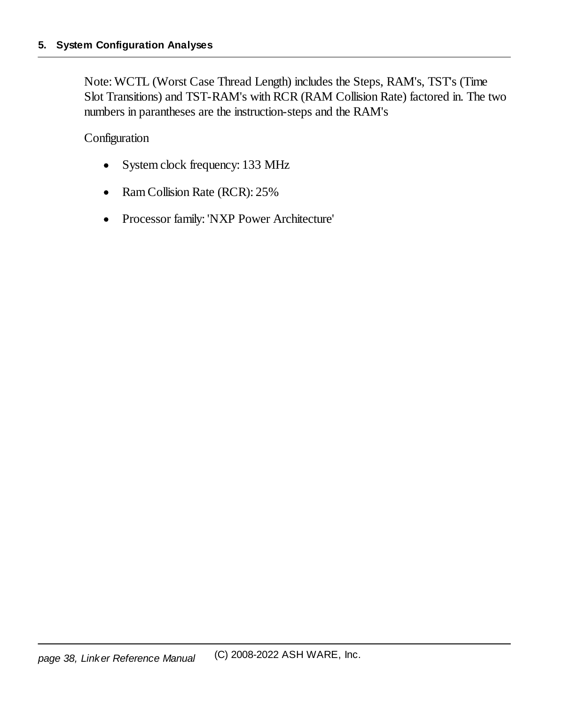Note: WCTL (Worst Case Thread Length) includes the Steps, RAM's, TST's (Time Slot Transitions) and TST-RAM's with RCR (RAM Collision Rate) factored in. The two numbers in parantheses are the instruction-steps and the RAM's

Configuration

- ·System clock frequency: 133 MHz
- ·Ram Collision Rate (RCR): 25%
- $\bullet$ Processor family: 'NXP Power Architecture'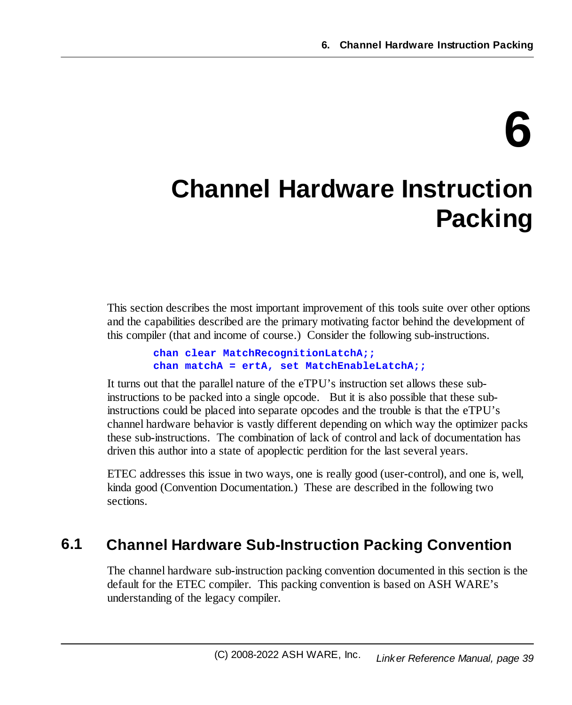# **6**

# <span id="page-38-0"></span>**Channel Hardware Instruction Packing**

This section describes the most important improvement of this tools suite over other options and the capabilities described are the primary motivating factor behind the development of this compiler (that and income of course.) Consider the following sub-instructions.

```
chan clear MatchRecognitionLatchA;;
chan matchA = ertA, set MatchEnableLatchA;;
```
It turns out that the parallel nature of the eTPU's instruction set allows these subinstructions to be packed into a single opcode. But it is also possible that these subinstructions could be placed into separate opcodes and the trouble is that the eTPU's channel hardware behavior is vastly different depending on which way the optimizer packs these sub-instructions. The combination of lack of control and lack of documentation has driven this author into a state of apoplectic perdition for the last several years.

ETEC addresses this issue in two ways, one is really good (user-control), and one is, well, kinda good (Convention Documentation.) These are described in the following two sections.

# <span id="page-38-1"></span>**6.1 Channel Hardware Sub-Instruction Packing Convention**

The channel hardware sub-instruction packing convention documented in this section is the default for the ETEC compiler. This packing convention is based on ASH WARE's understanding of the legacy compiler.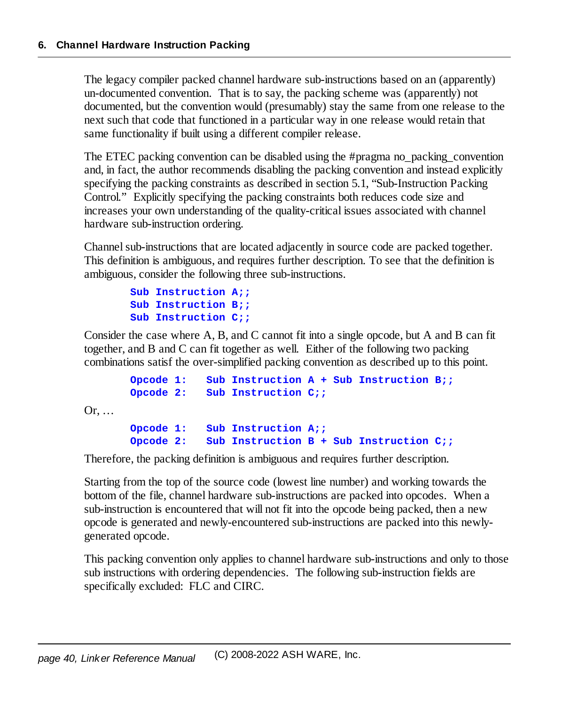The legacy compiler packed channel hardware sub-instructions based on an (apparently) un-documented convention. That is to say, the packing scheme was (apparently) not documented, but the convention would (presumably) stay the same from one release to the next such that code that functioned in a particular way in one release would retain that same functionality if built using a different compiler release.

The ETEC packing convention can be disabled using the #pragma no\_packing\_convention and, in fact, the author recommends disabling the packing convention and instead explicitly specifying the packing constraints as described in section 5.1, "Sub-Instruction Packing Control." Explicitly specifying the packing constraints both reduces code size and increases your own understanding of the quality-critical issues associated with channel hardware sub-instruction ordering.

Channel sub-instructions that are located adjacently in source code are packed together. This definition is ambiguous, and requires further description. To see that the definition is ambiguous, consider the following three sub-instructions.

```
Sub Instruction A;;
Sub Instruction B;;
Sub Instruction C;;
```
Consider the case where A, B, and C cannot fit into a single opcode, but A and B can fit together, and B and C can fit together as well. Either of the following two packing combinations satisf the over-simplified packing convention as described up to this point.

```
Opcode 1: Sub Instruction A + Sub Instruction B;;
Opcode 2: Sub Instruction C;;
```
Or, …

**Opcode 1: Sub Instruction A;; Opcode 2: Sub Instruction B + Sub Instruction C;;**

Therefore, the packing definition is ambiguous and requires further description.

Starting from the top of the source code (lowest line number) and working towards the bottom of the file, channel hardware sub-instructions are packed into opcodes. When a sub-instruction is encountered that will not fit into the opcode being packed, then a new opcode is generated and newly-encountered sub-instructions are packed into this newlygenerated opcode.

This packing convention only applies to channel hardware sub-instructions and only to those sub instructions with ordering dependencies. The following sub-instruction fields are specifically excluded: FLC and CIRC.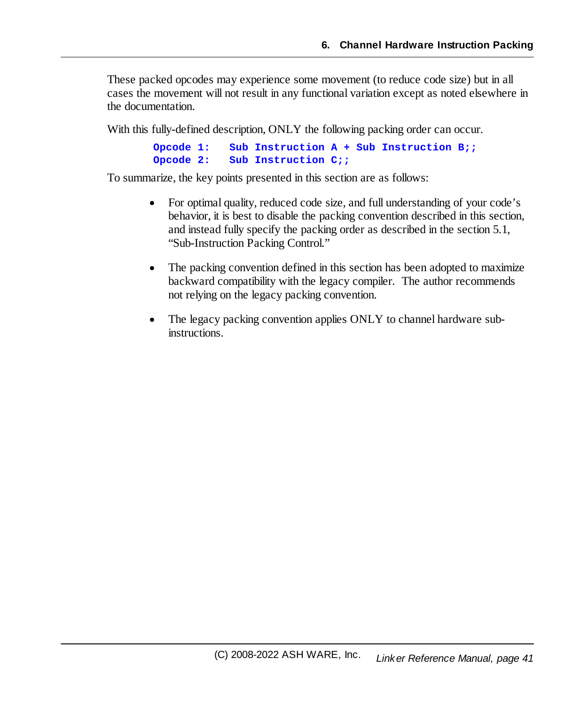These packed opcodes may experience some movement (to reduce code size) but in all cases the movement will not result in any functional variation except as noted elsewhere in the documentation.

With this fully-defined description, ONLY the following packing order can occur.

```
Opcode 1: Sub Instruction A + Sub Instruction B;;
Opcode 2: Sub Instruction C;;
```
To summarize, the key points presented in this section are as follows:

- · For optimal quality, reduced code size, and full understanding of your code's behavior, it is best to disable the packing convention described in this section, and instead fully specify the packing order as described in the section 5.1, "Sub-Instruction Packing Control."
- · The packing convention defined in this section has been adopted to maximize backward compatibility with the legacy compiler. The author recommends not relying on the legacy packing convention.
- · The legacy packing convention applies ONLY to channel hardware subinstructions.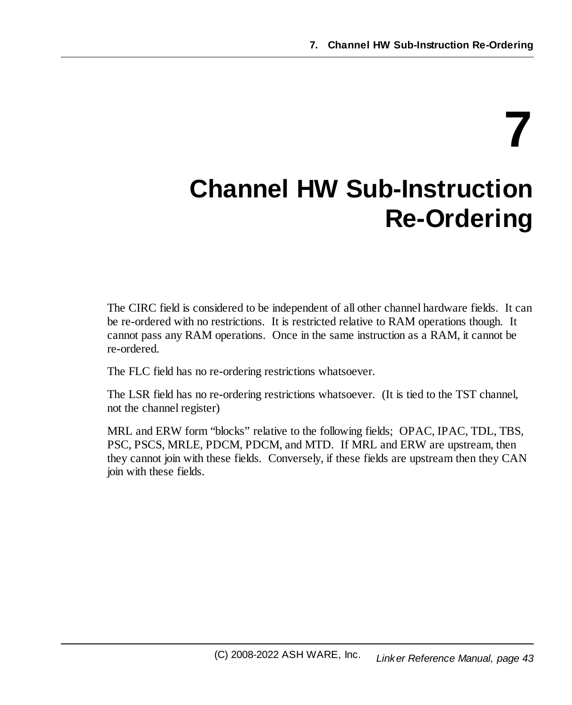**7**

# <span id="page-42-0"></span>**Channel HW Sub-Instruction Re-Ordering**

The CIRC field is considered to be independent of all other channel hardware fields. It can be re-ordered with no restrictions. It is restricted relative to RAM operations though. It cannot pass any RAM operations. Once in the same instruction as a RAM, it cannot be re-ordered.

The FLC field has no re-ordering restrictions whatsoever.

The LSR field has no re-ordering restrictions whatsoever. (It is tied to the TST channel, not the channel register)

MRL and ERW form "blocks" relative to the following fields; OPAC, IPAC, TDL, TBS, PSC, PSCS, MRLE, PDCM, PDCM, and MTD. If MRL and ERW are upstream, then they cannot join with these fields. Conversely, if these fields are upstream then they CAN join with these fields.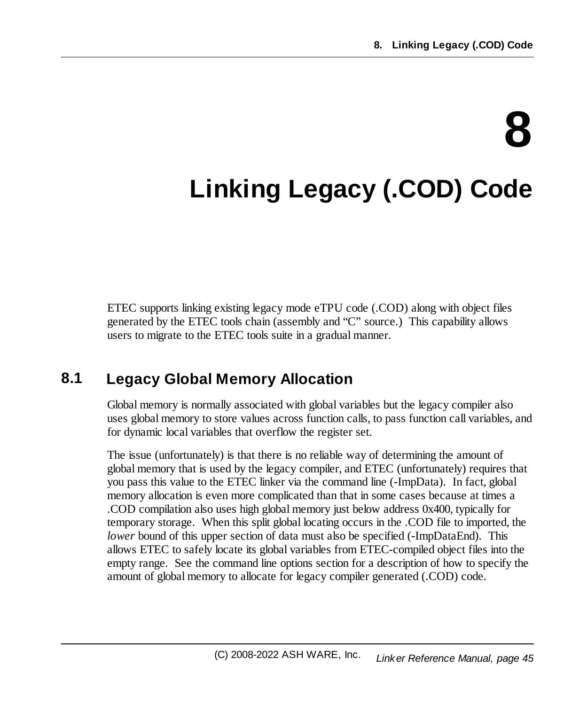# **8**

# <span id="page-44-0"></span>**Linking Legacy (.COD) Code**

ETEC supports linking existing legacy mode eTPU code (.COD) along with object files generated by the ETEC tools chain (assembly and "C" source.) This capability allows users to migrate to the ETEC tools suite in a gradual manner.

# <span id="page-44-1"></span>**8.1 Legacy Global Memory Allocation**

Global memory is normally associated with global variables but the legacy compiler also uses global memory to store values across function calls, to pass function call variables, and for dynamic local variables that overflow the register set.

The issue (unfortunately) is that there is no reliable way of determining the amount of global memory that is used by the legacy compiler, and ETEC (unfortunately) requires that you pass this value to the ETEC linker via the command line (-ImpData). In fact, global memory allocation is even more complicated than that in some cases because at times a .COD compilation also uses high global memory just below address 0x400, typically for temporary storage. When this split global locating occurs in the .COD file to imported, the *lower* bound of this upper section of data must also be specified (-ImpDataEnd). This allows ETEC to safely locate its global variables from ETEC-compiled object files into the empty range. See the command line options section for a description of how to specify the amount of global memory to allocate for legacy compiler generated (.COD) code.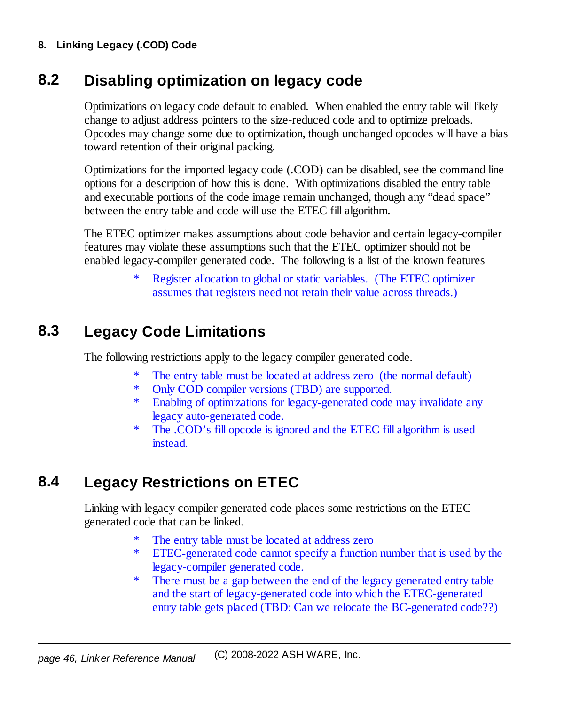## <span id="page-45-0"></span>**8.2 Disabling optimization on legacy code**

Optimizations on legacy code default to enabled. When enabled the entry table will likely change to adjust address pointers to the size-reduced code and to optimize preloads. Opcodes may change some due to optimization, though unchanged opcodes will have a bias toward retention of their original packing.

Optimizations for the imported legacy code (.COD) can be disabled, see the command line options for a description of how this is done. With optimizations disabled the entry table and executable portions of the code image remain unchanged, though any "dead space" between the entry table and code will use the ETEC fill algorithm.

The ETEC optimizer makes assumptions about code behavior and certain legacy-compiler features may violate these assumptions such that the ETEC optimizer should not be enabled legacy-compiler generated code. The following is a list of the known features

> Register allocation to global or static variables. (The ETEC optimizer assumes that registers need not retain their value across threads.)

# <span id="page-45-1"></span>**8.3 Legacy Code Limitations**

The following restrictions apply to the legacy compiler generated code.

- The entry table must be located at address zero (the normal default)
- \* Only COD compiler versions (TBD) are supported.
- \* Enabling of optimizations for legacy-generated code may invalidate any legacy auto-generated code.
- \* The .COD's fill opcode is ignored and the ETEC fill algorithm is used instead.

# <span id="page-45-2"></span>**8.4 Legacy Restrictions on ETEC**

Linking with legacy compiler generated code places some restrictions on the ETEC generated code that can be linked.

- The entry table must be located at address zero
- \* ETEC-generated code cannot specify a function number that is used by the legacy-compiler generated code.
- \* There must be a gap between the end of the legacy generated entry table and the start of legacy-generated code into which the ETEC-generated entry table gets placed (TBD: Can we relocate the BC-generated code??)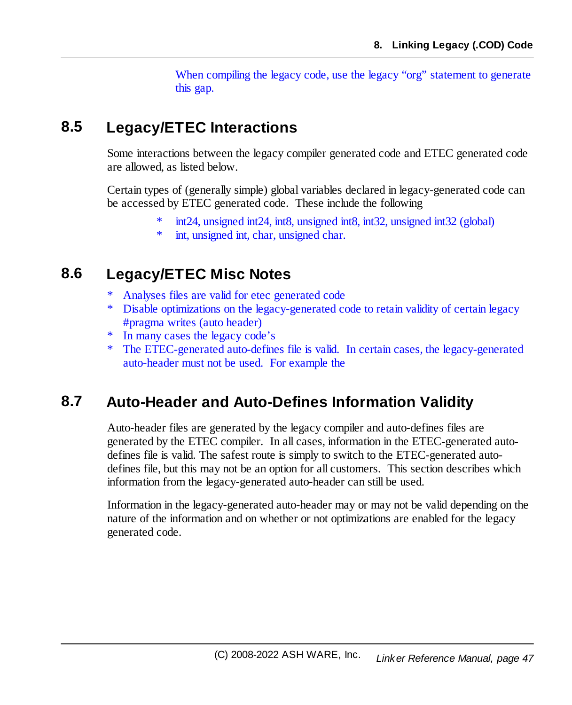When compiling the legacy code, use the legacy "org" statement to generate this gap.

## <span id="page-46-0"></span>**8.5 Legacy/ETEC Interactions**

Some interactions between the legacy compiler generated code and ETEC generated code are allowed, as listed below.

Certain types of (generally simple) global variables declared in legacy-generated code can be accessed by ETEC generated code. These include the following

- $int24$ , unsigned int24, int8, unsigned int8, int32, unsigned int32 (global)
- \* int, unsigned int, char, unsigned char.

### <span id="page-46-1"></span>**8.6 Legacy/ETEC Misc Notes**

- Analyses files are valid for etec generated code
- Disable optimizations on the legacy-generated code to retain validity of certain legacy #pragma writes (auto header)
- \* In many cases the legacy code's
- \* The ETEC-generated auto-defines file is valid. In certain cases, the legacy-generated auto-header must not be used. For example the

# <span id="page-46-2"></span>**8.7 Auto-Header and Auto-Defines Information Validity**

Auto-header files are generated by the legacy compiler and auto-defines files are generated by the ETEC compiler. In all cases, information in the ETEC-generated autodefines file is valid. The safest route is simply to switch to the ETEC-generated autodefines file, but this may not be an option for all customers. This section describes which information from the legacy-generated auto-header can still be used.

Information in the legacy-generated auto-header may or may not be valid depending on the nature of the information and on whether or not optimizations are enabled for the legacy generated code.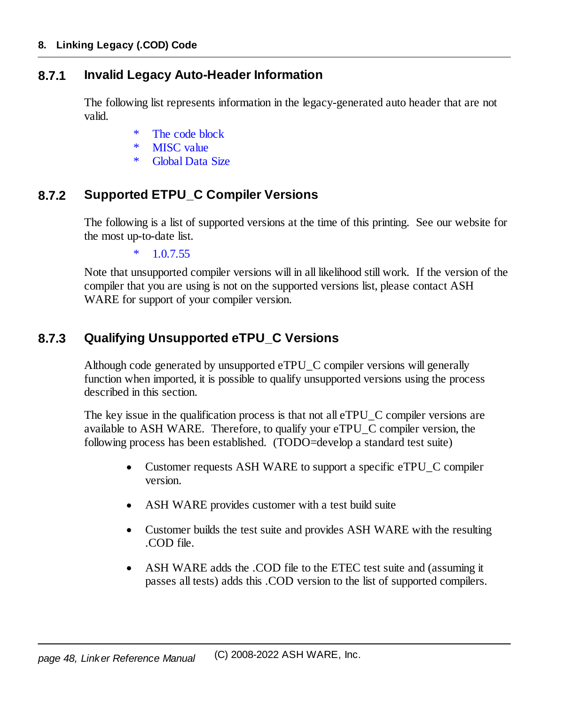#### <span id="page-47-0"></span>**8.7.1 Invalid Legacy Auto-Header Information**

The following list represents information in the legacy-generated auto header that are not valid.

- The code block
- \* MISC value
- \* Global Data Size

#### <span id="page-47-1"></span>**8.7.2 Supported ETPU\_C Compiler Versions**

The following is a list of supported versions at the time of this printing. See our website for the most up-to-date list.

 $*$  1.0.7.55

Note that unsupported compiler versions will in all likelihood still work. If the version of the compiler that you are using is not on the supported versions list, please contact ASH WARE for support of your compiler version.

#### <span id="page-47-2"></span>**8.7.3 Qualifying Unsupported eTPU\_C Versions**

Although code generated by unsupported eTPU\_C compiler versions will generally function when imported, it is possible to qualify unsupported versions using the process described in this section.

The key issue in the qualification process is that not all eTPU C compiler versions are available to ASH WARE. Therefore, to qualify your eTPU\_C compiler version, the following process has been established. (TODO=develop a standard test suite)

- · Customer requests ASH WARE to support a specific eTPU\_C compiler version.
- ·ASH WARE provides customer with a test build suite
- · Customer builds the test suite and provides ASH WARE with the resulting .COD file.
- · ASH WARE adds the .COD file to the ETEC test suite and (assuming it passes all tests) adds this .COD version to the list of supported compilers.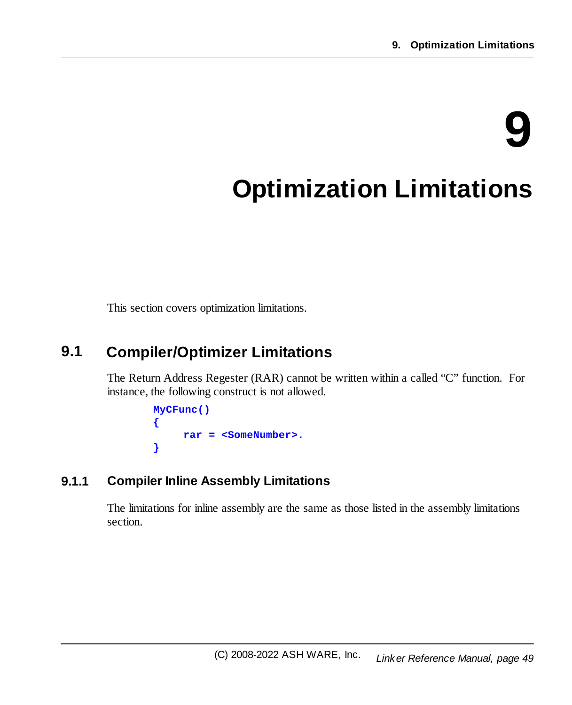# **9**

# <span id="page-48-0"></span>**Optimization Limitations**

This section covers optimization limitations.

## <span id="page-48-1"></span>**9.1 Compiler/Optimizer Limitations**

The Return Address Regester (RAR) cannot be written within a called "C" function. For instance, the following construct is not allowed.

```
MyCFunc()
{
     rar = <SomeNumber>.
}
```
#### <span id="page-48-2"></span>**9.1.1 Compiler Inline Assembly Limitations**

The limitations for inline assembly are the same as those listed in the assembly limitations section.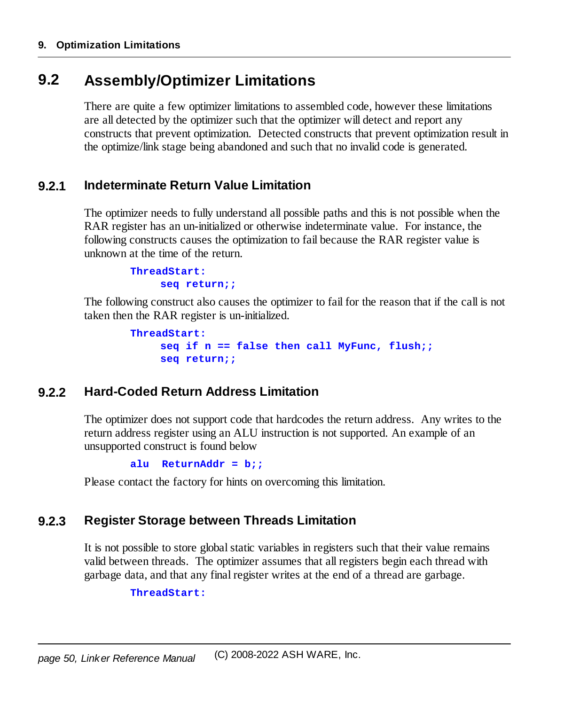# <span id="page-49-0"></span>**9.2 Assembly/Optimizer Limitations**

There are quite a few optimizer limitations to assembled code, however these limitations are all detected by the optimizer such that the optimizer will detect and report any constructs that prevent optimization. Detected constructs that prevent optimization result in the optimize/link stage being abandoned and such that no invalid code is generated.

#### <span id="page-49-1"></span>**9.2.1 Indeterminate Return Value Limitation**

The optimizer needs to fully understand all possible paths and this is not possible when the RAR register has an un-initialized or otherwise indeterminate value. For instance, the following constructs causes the optimization to fail because the RAR register value is unknown at the time of the return.

> **ThreadStart: seq return;;**

The following construct also causes the optimizer to fail for the reason that if the call is not taken then the RAR register is un-initialized.

```
ThreadStart:
    seq if n == false then call MyFunc, flush;;
     seq return;;
```
#### <span id="page-49-2"></span>**9.2.2 Hard-Coded Return Address Limitation**

The optimizer does not support code that hardcodes the return address. Any writes to the return address register using an ALU instruction is not supported. An example of an unsupported construct is found below

**alu ReturnAddr = b;;**

Please contact the factory for hints on overcoming this limitation.

#### <span id="page-49-3"></span>**9.2.3 Register Storage between Threads Limitation**

It is not possible to store globalstatic variables in registers such that their value remains valid between threads. The optimizer assumes that all registers begin each thread with garbage data, and that any final register writes at the end of a thread are garbage.

**ThreadStart:**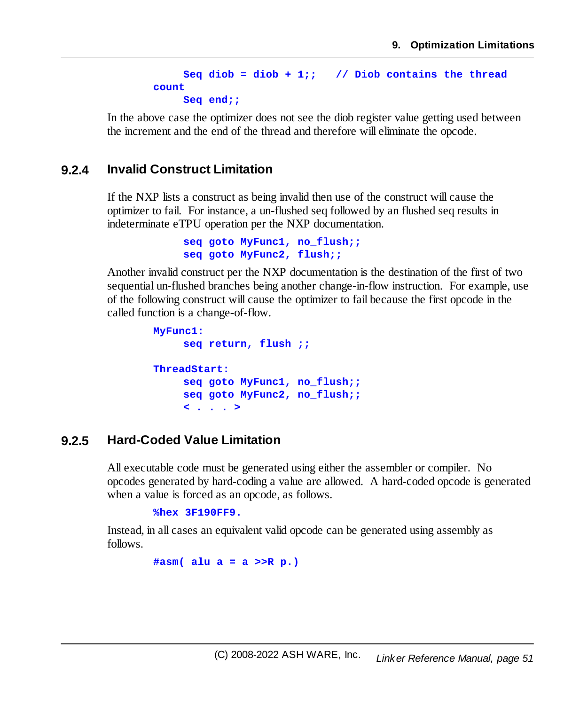```
Seq diob = diob + 1;; // Diob contains the thread
count
    Seq end;;
```
In the above case the optimizer does not see the diob register value getting used between the increment and the end of the thread and therefore will eliminate the opcode.

#### <span id="page-50-0"></span>**9.2.4 Invalid Construct Limitation**

If the NXP lists a construct as being invalid then use of the construct will cause the optimizer to fail. For instance, a un-flushed seq followed by an flushed seq results in indeterminate eTPU operation per the NXP documentation.

```
seq goto MyFunc1, no_flush;;
seq goto MyFunc2, flush;;
```
Another invalid construct per the NXP documentation is the destination of the first of two sequential un-flushed branches being another change-in-flow instruction. For example, use of the following construct will cause the optimizer to fail because the first opcode in the called function is a change-of-flow.

```
MyFunc1:
    seq return, flush ;;
ThreadStart:
    seq goto MyFunc1, no_flush;;
    seq goto MyFunc2, no_flush;;
    < . . . >
```
#### <span id="page-50-1"></span>**9.2.5 Hard-Coded Value Limitation**

All executable code must be generated using either the assembler or compiler. No opcodes generated by hard-coding a value are allowed. A hard-coded opcode is generated when a value is forced as an opcode, as follows.

**%hex 3F190FF9.**

Instead, in all cases an equivalent valid opcode can be generated using assembly as follows.

**#asm( alu a = a >>R p.)**